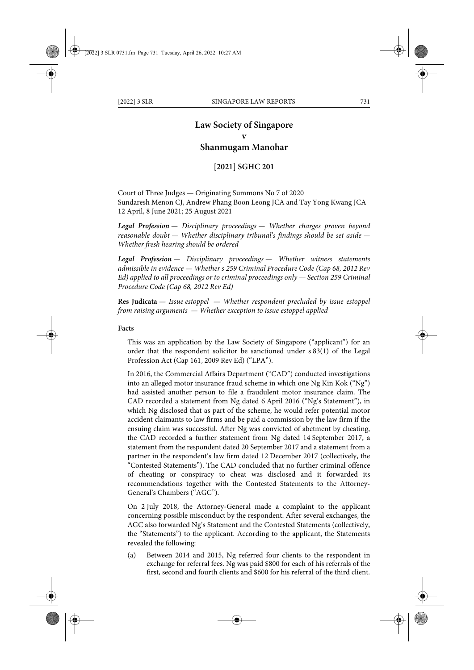# **Law Society of Singapore v**

# **Shanmugam Manohar**

# **[2021] SGHC 201**

Court of Three Judges — Originating Summons No 7 of 2020 Sundaresh Menon CJ, Andrew Phang Boon Leong JCA and Tay Yong Kwang JCA 12 April, 8 June 2021; 25 August 2021

*Legal Profession — Disciplinary proceedings — Whether charges proven beyond reasonable doubt — Whether disciplinary tribunal's findings should be set aside — Whether fresh hearing should be ordered*

*Legal Profession — Disciplinary proceedings — Whether witness statements admissible in evidence — Whether s 259 Criminal Procedure Code (Cap 68, 2012 Rev Ed) applied to all proceedings or to criminal proceedings only — Section 259 Criminal Procedure Code (Cap 68, 2012 Rev Ed)*

**Res Judicata** *— Issue estoppel — Whether respondent precluded by issue estoppel from raising arguments — Whether exception to issue estoppel applied*

### **Facts**

This was an application by the Law Society of Singapore ("applicant") for an order that the respondent solicitor be sanctioned under s 83(1) of the Legal Profession Act (Cap 161, 2009 Rev Ed) ("LPA").

In 2016, the Commercial Affairs Department ("CAD") conducted investigations into an alleged motor insurance fraud scheme in which one Ng Kin Kok ("Ng") had assisted another person to file a fraudulent motor insurance claim. The CAD recorded a statement from Ng dated 6 April 2016 ("Ng's Statement"), in which Ng disclosed that as part of the scheme, he would refer potential motor accident claimants to law firms and be paid a commission by the law firm if the ensuing claim was successful. After Ng was convicted of abetment by cheating, the CAD recorded a further statement from Ng dated 14 September 2017, a statement from the respondent dated 20 September 2017 and a statement from a partner in the respondent's law firm dated 12 December 2017 (collectively, the "Contested Statements"). The CAD concluded that no further criminal offence of cheating or conspiracy to cheat was disclosed and it forwarded its recommendations together with the Contested Statements to the Attorney-General's Chambers ("AGC").

On 2 July 2018, the Attorney-General made a complaint to the applicant concerning possible misconduct by the respondent. After several exchanges, the AGC also forwarded Ng's Statement and the Contested Statements (collectively, the "Statements") to the applicant. According to the applicant, the Statements revealed the following:

(a) Between 2014 and 2015, Ng referred four clients to the respondent in exchange for referral fees. Ng was paid \$800 for each of his referrals of the first, second and fourth clients and \$600 for his referral of the third client.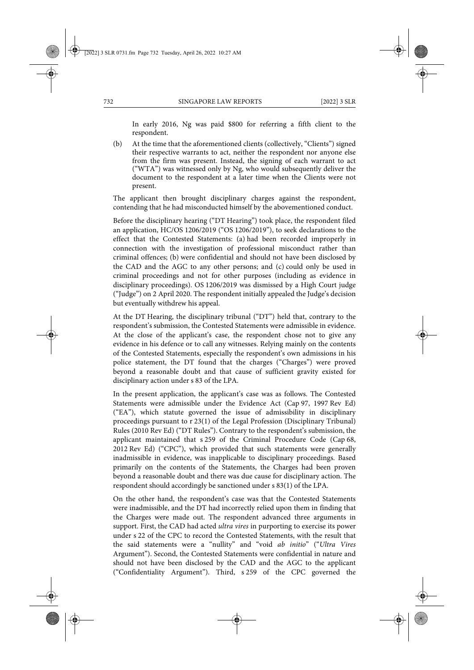In early 2016, Ng was paid \$800 for referring a fifth client to the respondent.

(b) At the time that the aforementioned clients (collectively, "Clients") signed their respective warrants to act, neither the respondent nor anyone else from the firm was present. Instead, the signing of each warrant to act ("WTA") was witnessed only by Ng, who would subsequently deliver the document to the respondent at a later time when the Clients were not present.

The applicant then brought disciplinary charges against the respondent, contending that he had misconducted himself by the abovementioned conduct.

Before the disciplinary hearing ("DT Hearing") took place, the respondent filed an application, HC/OS 1206/2019 ("OS 1206/2019"), to seek declarations to the effect that the Contested Statements: (a) had been recorded improperly in connection with the investigation of professional misconduct rather than criminal offences; (b) were confidential and should not have been disclosed by the CAD and the AGC to any other persons; and (c) could only be used in criminal proceedings and not for other purposes (including as evidence in disciplinary proceedings). OS 1206/2019 was dismissed by a High Court judge ("Judge") on 2 April 2020. The respondent initially appealed the Judge's decision but eventually withdrew his appeal.

At the DT Hearing, the disciplinary tribunal ("DT") held that, contrary to the respondent's submission, the Contested Statements were admissible in evidence. At the close of the applicant's case, the respondent chose not to give any evidence in his defence or to call any witnesses. Relying mainly on the contents of the Contested Statements, especially the respondent's own admissions in his police statement, the DT found that the charges ("Charges") were proved beyond a reasonable doubt and that cause of sufficient gravity existed for disciplinary action under s 83 of the LPA.

In the present application, the applicant's case was as follows. The Contested Statements were admissible under the Evidence Act (Cap 97, 1997 Rev Ed) ("EA"), which statute governed the issue of admissibility in disciplinary proceedings pursuant to r 23(1) of the Legal Profession (Disciplinary Tribunal) Rules (2010 Rev Ed) ("DT Rules"). Contrary to the respondent's submission, the applicant maintained that s 259 of the Criminal Procedure Code (Cap 68, 2012 Rev Ed) ("CPC"), which provided that such statements were generally inadmissible in evidence, was inapplicable to disciplinary proceedings. Based primarily on the contents of the Statements, the Charges had been proven beyond a reasonable doubt and there was due cause for disciplinary action. The respondent should accordingly be sanctioned under s 83(1) of the LPA.

On the other hand, the respondent's case was that the Contested Statements were inadmissible, and the DT had incorrectly relied upon them in finding that the Charges were made out. The respondent advanced three arguments in support. First, the CAD had acted *ultra vires* in purporting to exercise its power under s 22 of the CPC to record the Contested Statements, with the result that the said statements were a "nullity" and "void *ab initio*" ("*Ultra Vires* Argument"). Second, the Contested Statements were confidential in nature and should not have been disclosed by the CAD and the AGC to the applicant ("Confidentiality Argument"). Third, s 259 of the CPC governed the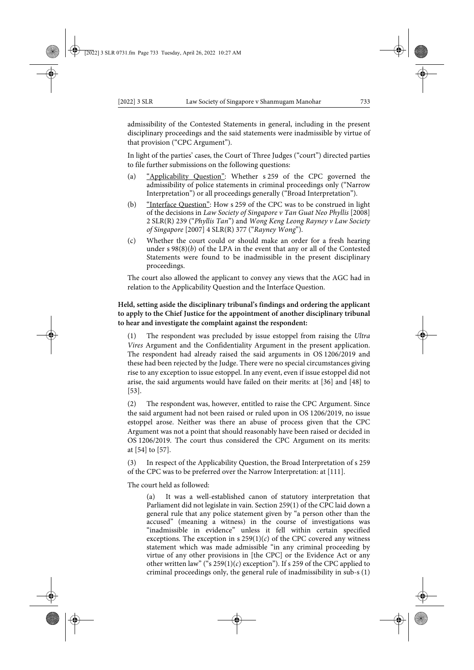admissibility of the Contested Statements in general, including in the present disciplinary proceedings and the said statements were inadmissible by virtue of that provision ("CPC Argument").

In light of the parties' cases, the Court of Three Judges ("court") directed parties to file further submissions on the following questions:

- (a) "Applicability Question": Whether s 259 of the CPC governed the admissibility of police statements in criminal proceedings only ("Narrow Interpretation") or all proceedings generally ("Broad Interpretation").
- (b) "Interface Question": How s 259 of the CPC was to be construed in light of the decisions in *Law Society of Singapore v Tan Guat Neo Phyllis* [2008] 2 SLR(R) 239 ("*Phyllis Tan*") and *Wong Keng Leong Rayney v Law Society of Singapore* [2007] 4 SLR(R) 377 ("*Rayney Wong*").
- (c) Whether the court could or should make an order for a fresh hearing under s 98(8)(*b*) of the LPA in the event that any or all of the Contested Statements were found to be inadmissible in the present disciplinary proceedings.

The court also allowed the applicant to convey any views that the AGC had in relation to the Applicability Question and the Interface Question.

# **Held, setting aside the disciplinary tribunal's findings and ordering the applicant to apply to the Chief Justice for the appointment of another disciplinary tribunal to hear and investigate the complaint against the respondent:**

(1) The respondent was precluded by issue estoppel from raising the *Ultra Vires* Argument and the Confidentiality Argument in the present application. The respondent had already raised the said arguments in OS 1206/2019 and these had been rejected by the Judge. There were no special circumstances giving rise to any exception to issue estoppel. In any event, even if issue estoppel did not arise, the said arguments would have failed on their merits: at [36] and [48] to [53].

(2) The respondent was, however, entitled to raise the CPC Argument. Since the said argument had not been raised or ruled upon in OS 1206/2019, no issue estoppel arose. Neither was there an abuse of process given that the CPC Argument was not a point that should reasonably have been raised or decided in OS 1206/2019. The court thus considered the CPC Argument on its merits: at [54] to [57].

(3) In respect of the Applicability Question, the Broad Interpretation of s 259 of the CPC was to be preferred over the Narrow Interpretation: at [111].

The court held as followed:

(a) It was a well-established canon of statutory interpretation that Parliament did not legislate in vain. Section 259(1) of the CPC laid down a general rule that any police statement given by "a person other than the accused" (meaning a witness) in the course of investigations was "inadmissible in evidence" unless it fell within certain specified exceptions. The exception in  $s$  259(1)( $c$ ) of the CPC covered any witness statement which was made admissible "in any criminal proceeding by virtue of any other provisions in [the CPC] or the Evidence Act or any other written law" ("s  $259(1)(c)$  exception"). If s 259 of the CPC applied to criminal proceedings only, the general rule of inadmissibility in sub-s (1)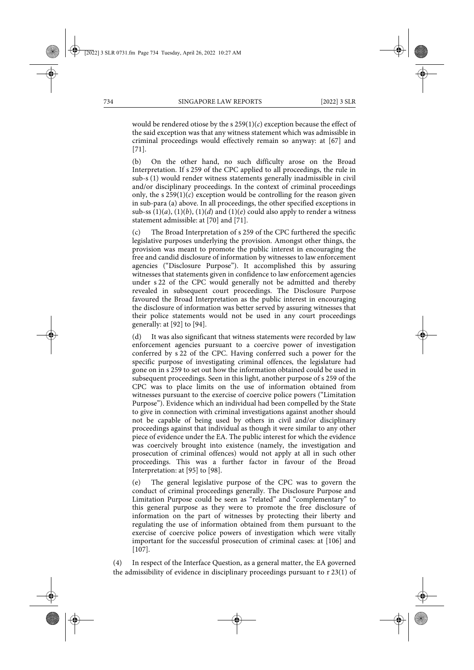would be rendered otiose by the s  $259(1)(c)$  exception because the effect of the said exception was that any witness statement which was admissible in criminal proceedings would effectively remain so anyway: at [67] and [71].

(b) On the other hand, no such difficulty arose on the Broad Interpretation. If s 259 of the CPC applied to all proceedings, the rule in sub-s (1) would render witness statements generally inadmissible in civil and/or disciplinary proceedings. In the context of criminal proceedings only, the  $s$  259(1)( $c$ ) exception would be controlling for the reason given in sub-para (a) above. In all proceedings, the other specified exceptions in sub-ss  $(1)(a)$ ,  $(1)(b)$ ,  $(1)(d)$  and  $(1)(e)$  could also apply to render a witness statement admissible: at [70] and [71].

(c) The Broad Interpretation of s 259 of the CPC furthered the specific legislative purposes underlying the provision. Amongst other things, the provision was meant to promote the public interest in encouraging the free and candid disclosure of information by witnesses to law enforcement agencies ("Disclosure Purpose"). It accomplished this by assuring witnesses that statements given in confidence to law enforcement agencies under s 22 of the CPC would generally not be admitted and thereby revealed in subsequent court proceedings. The Disclosure Purpose favoured the Broad Interpretation as the public interest in encouraging the disclosure of information was better served by assuring witnesses that their police statements would not be used in any court proceedings generally: at [92] to [94].

(d) It was also significant that witness statements were recorded by law enforcement agencies pursuant to a coercive power of investigation conferred by s 22 of the CPC. Having conferred such a power for the specific purpose of investigating criminal offences, the legislature had gone on in s 259 to set out how the information obtained could be used in subsequent proceedings. Seen in this light, another purpose of s 259 of the CPC was to place limits on the use of information obtained from witnesses pursuant to the exercise of coercive police powers ("Limitation Purpose"). Evidence which an individual had been compelled by the State to give in connection with criminal investigations against another should not be capable of being used by others in civil and/or disciplinary proceedings against that individual as though it were similar to any other piece of evidence under the EA. The public interest for which the evidence was coercively brought into existence (namely, the investigation and prosecution of criminal offences) would not apply at all in such other proceedings. This was a further factor in favour of the Broad Interpretation: at [95] to [98].

(e) The general legislative purpose of the CPC was to govern the conduct of criminal proceedings generally. The Disclosure Purpose and Limitation Purpose could be seen as "related" and "complementary" to this general purpose as they were to promote the free disclosure of information on the part of witnesses by protecting their liberty and regulating the use of information obtained from them pursuant to the exercise of coercive police powers of investigation which were vitally important for the successful prosecution of criminal cases: at [106] and [107].

(4) In respect of the Interface Question, as a general matter, the EA governed the admissibility of evidence in disciplinary proceedings pursuant to r 23(1) of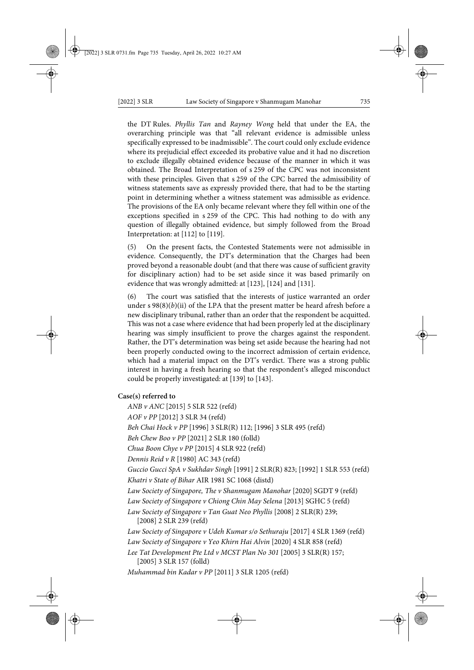the DT Rules. *Phyllis Tan* and *Rayney Wong* held that under the EA, the overarching principle was that "all relevant evidence is admissible unless specifically expressed to be inadmissible". The court could only exclude evidence where its prejudicial effect exceeded its probative value and it had no discretion to exclude illegally obtained evidence because of the manner in which it was obtained. The Broad Interpretation of s 259 of the CPC was not inconsistent with these principles. Given that s 259 of the CPC barred the admissibility of witness statements save as expressly provided there, that had to be the starting point in determining whether a witness statement was admissible as evidence. The provisions of the EA only became relevant where they fell within one of the exceptions specified in s 259 of the CPC. This had nothing to do with any question of illegally obtained evidence, but simply followed from the Broad Interpretation: at [112] to [119].

(5) On the present facts, the Contested Statements were not admissible in evidence. Consequently, the DT's determination that the Charges had been proved beyond a reasonable doubt (and that there was cause of sufficient gravity for disciplinary action) had to be set aside since it was based primarily on evidence that was wrongly admitted: at [123], [124] and [131].

(6) The court was satisfied that the interests of justice warranted an order under  $s \ 98(8)(b)(ii)$  of the LPA that the present matter be heard afresh before a new disciplinary tribunal, rather than an order that the respondent be acquitted. This was not a case where evidence that had been properly led at the disciplinary hearing was simply insufficient to prove the charges against the respondent. Rather, the DT's determination was being set aside because the hearing had not been properly conducted owing to the incorrect admission of certain evidence, which had a material impact on the DT's verdict. There was a strong public interest in having a fresh hearing so that the respondent's alleged misconduct could be properly investigated: at [139] to [143].

#### **Case(s) referred to**

*ANB v ANC* [2015] 5 SLR 522 (refd) *AOF v PP* [2012] 3 SLR 34 (refd) *Beh Chai Hock v PP* [1996] 3 SLR(R) 112; [1996] 3 SLR 495 (refd) *Beh Chew Boo v PP* [2021] 2 SLR 180 (folld) *Chua Boon Chye v PP* [2015] 4 SLR 922 (refd) *Dennis Reid v R* [1980] AC 343 (refd) *Guccio Gucci SpA v Sukhdav Singh* [1991] 2 SLR(R) 823; [1992] 1 SLR 553 (refd) *Khatri v State of Bihar* AIR 1981 SC 1068 (distd) *Law Society of Singapore, The v Shanmugam Manohar* [2020] SGDT 9 (refd) *Law Society of Singapore v Chiong Chin May Selena* [2013] SGHC 5 (refd) *Law Society of Singapore v Tan Guat Neo Phyllis* [2008] 2 SLR(R) 239; [2008] 2 SLR 239 (refd) *Law Society of Singapore v Udeh Kumar s/o Sethuraju* [2017] 4 SLR 1369 (refd) *Law Society of Singapore v Yeo Khirn Hai Alvin* [2020] 4 SLR 858 (refd) *Lee Tat Development Pte Ltd v MCST Plan No 301* [2005] 3 SLR(R) 157; [2005] 3 SLR 157 (folld) *Muhammad bin Kadar v PP* [2011] 3 SLR 1205 (refd)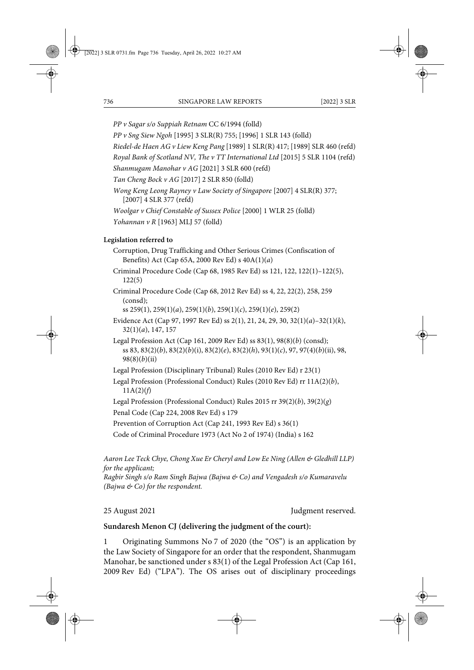*PP v Sagar s/o Suppiah Retnam* CC 6/1994 (folld)

*PP v Sng Siew Ngoh* [1995] 3 SLR(R) 755; [1996] 1 SLR 143 (folld)

*Riedel-de Haen AG v Liew Keng Pang* [1989] 1 SLR(R) 417; [1989] SLR 460 (refd)

*Royal Bank of Scotland NV, The v TT International Ltd* [2015] 5 SLR 1104 (refd)

*Shanmugam Manohar v AG* [2021] 3 SLR 600 (refd)

*Tan Cheng Bock v AG* [2017] 2 SLR 850 (folld)

*Wong Keng Leong Rayney v Law Society of Singapore* [2007] 4 SLR(R) 377; [2007] 4 SLR 377 (refd)

*Woolgar v Chief Constable of Sussex Police* [2000] 1 WLR 25 (folld)

*Yohannan v R* [1963] MLJ 57 (folld)

# **Legislation referred to**

Corruption, Drug Trafficking and Other Serious Crimes (Confiscation of Benefits) Act (Cap 65A, 2000 Rev Ed) s 40A(1)(*a*)

Criminal Procedure Code (Cap 68, 1985 Rev Ed) ss 121, 122, 122(1)–122(5), 122(5)

Criminal Procedure Code (Cap 68, 2012 Rev Ed) ss 4, 22, 22(2), 258, 259 (consd);

ss 259(1), 259(1)(*a*), 259(1)(*b*), 259(1)(*c*), 259(1)(*e*), 259(2)

- Evidence Act (Cap 97, 1997 Rev Ed) ss 2(1), 21, 24, 29, 30, 32(1)(*a*)–32(1)(*k*), 32(1)(*a*), 147, 157
- Legal Profession Act (Cap 161, 2009 Rev Ed) ss 83(1), 98(8)(*b*) (consd); ss 83, 83(2)(*b*), 83(2)(*b*)(i), 83(2)(*e*), 83(2)(*h*), 93(1)(*c*), 97, 97(4)(*b*)(ii), 98, 98(8)(*b*)(ii)

Legal Profession (Disciplinary Tribunal) Rules (2010 Rev Ed) r 23(1)

Legal Profession (Professional Conduct) Rules (2010 Rev Ed) rr 11A(2)(*b*),  $11A(2)(f)$ 

Legal Profession (Professional Conduct) Rules 2015 rr 39(2)(*b*), 39(2)(*g*)

Penal Code (Cap 224, 2008 Rev Ed) s 179

Prevention of Corruption Act (Cap 241, 1993 Rev Ed) s 36(1)

Code of Criminal Procedure 1973 (Act No 2 of 1974) (India) s 162

*Aaron Lee Teck Chye, Chong Xue Er Cheryl and Low Ee Ning (Allen & Gledhill LLP) for the applicant;* 

*Ragbir Singh s/o Ram Singh Bajwa (Bajwa & Co) and Vengadesh s/o Kumaravelu (Bajwa & Co) for the respondent.*

25 August 2021 Judgment reserved.

# **Sundaresh Menon CJ (delivering the judgment of the court):**

1 Originating Summons No 7 of 2020 (the "OS") is an application by the Law Society of Singapore for an order that the respondent, Shanmugam Manohar, be sanctioned under s 83(1) of the Legal Profession Act (Cap 161, 2009 Rev Ed) ("LPA"). The OS arises out of disciplinary proceedings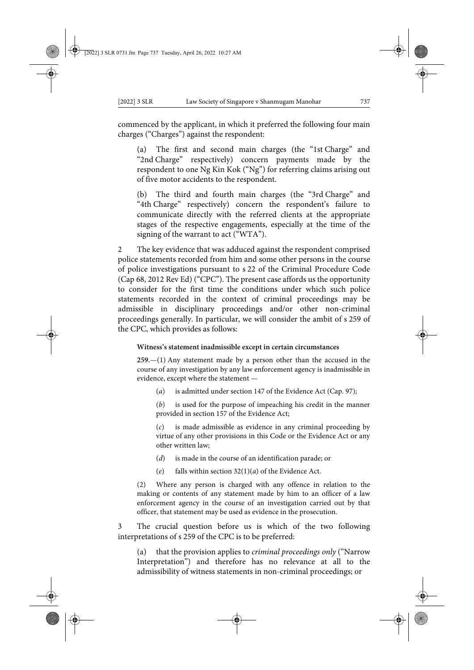commenced by the applicant, in which it preferred the following four main charges ("Charges") against the respondent:

(a) The first and second main charges (the "1st Charge" and "2nd Charge" respectively) concern payments made by the respondent to one Ng Kin Kok ("Ng") for referring claims arising out of five motor accidents to the respondent.

(b) The third and fourth main charges (the "3rd Charge" and "4th Charge" respectively) concern the respondent's failure to communicate directly with the referred clients at the appropriate stages of the respective engagements, especially at the time of the signing of the warrant to act ("WTA").

2 The key evidence that was adduced against the respondent comprised police statements recorded from him and some other persons in the course of police investigations pursuant to s 22 of the Criminal Procedure Code (Cap 68, 2012 Rev Ed) ("CPC"). The present case affords us the opportunity to consider for the first time the conditions under which such police statements recorded in the context of criminal proceedings may be admissible in disciplinary proceedings and/or other non-criminal proceedings generally. In particular, we will consider the ambit of s 259 of the CPC, which provides as follows:

#### **Witness's statement inadmissible except in certain circumstances**

**259.**—(1) Any statement made by a person other than the accused in the course of any investigation by any law enforcement agency is inadmissible in evidence, except where the statement —

(*a*) is admitted under section 147 of the Evidence Act (Cap. 97);

(*b*) is used for the purpose of impeaching his credit in the manner provided in section 157 of the Evidence Act;

(*c*) is made admissible as evidence in any criminal proceeding by virtue of any other provisions in this Code or the Evidence Act or any other written law;

- (*d*) is made in the course of an identification parade; or
- (*e*) falls within section 32(1)(*a*) of the Evidence Act.

(2) Where any person is charged with any offence in relation to the making or contents of any statement made by him to an officer of a law enforcement agency in the course of an investigation carried out by that officer, that statement may be used as evidence in the prosecution.

3 The crucial question before us is which of the two following interpretations of s 259 of the CPC is to be preferred:

(a) that the provision applies to *criminal proceedings only* ("Narrow Interpretation") and therefore has no relevance at all to the admissibility of witness statements in non-criminal proceedings; or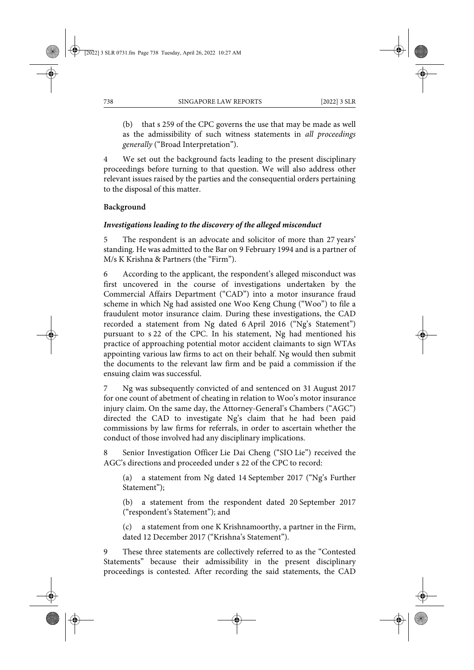(b) that s 259 of the CPC governs the use that may be made as well as the admissibility of such witness statements in *all proceedings generally* ("Broad Interpretation").

4 We set out the background facts leading to the present disciplinary proceedings before turning to that question. We will also address other relevant issues raised by the parties and the consequential orders pertaining to the disposal of this matter.

# **Background**

# *Investigations leading to the discovery of the alleged misconduct*

5 The respondent is an advocate and solicitor of more than 27 years' standing. He was admitted to the Bar on 9 February 1994 and is a partner of M/s K Krishna & Partners (the "Firm").

6 According to the applicant, the respondent's alleged misconduct was first uncovered in the course of investigations undertaken by the Commercial Affairs Department ("CAD") into a motor insurance fraud scheme in which Ng had assisted one Woo Keng Chung ("Woo") to file a fraudulent motor insurance claim. During these investigations, the CAD recorded a statement from Ng dated 6 April 2016 ("Ng's Statement") pursuant to s 22 of the CPC. In his statement, Ng had mentioned his practice of approaching potential motor accident claimants to sign WTAs appointing various law firms to act on their behalf. Ng would then submit the documents to the relevant law firm and be paid a commission if the ensuing claim was successful.

7 Ng was subsequently convicted of and sentenced on 31 August 2017 for one count of abetment of cheating in relation to Woo's motor insurance injury claim. On the same day, the Attorney-General's Chambers ("AGC") directed the CAD to investigate Ng's claim that he had been paid commissions by law firms for referrals, in order to ascertain whether the conduct of those involved had any disciplinary implications.

8 Senior Investigation Officer Lie Dai Cheng ("SIO Lie") received the AGC's directions and proceeded under s 22 of the CPC to record:

(a) a statement from Ng dated 14 September 2017 ("Ng's Further Statement");

(b) a statement from the respondent dated 20 September 2017 ("respondent's Statement"); and

(c) a statement from one K Krishnamoorthy, a partner in the Firm, dated 12 December 2017 ("Krishna's Statement").

9 These three statements are collectively referred to as the "Contested Statements" because their admissibility in the present disciplinary proceedings is contested. After recording the said statements, the CAD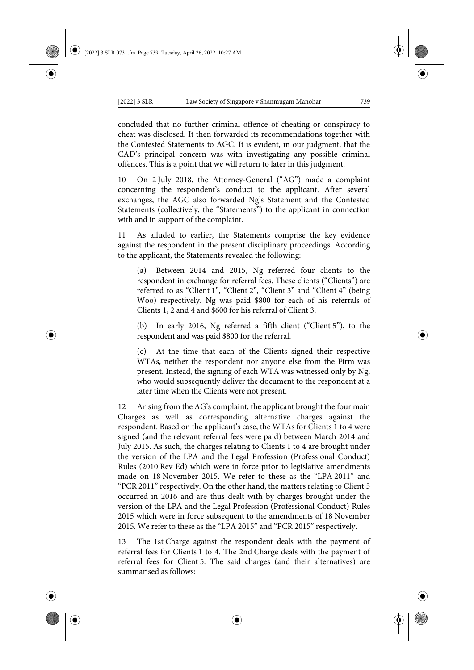concluded that no further criminal offence of cheating or conspiracy to cheat was disclosed. It then forwarded its recommendations together with the Contested Statements to AGC. It is evident, in our judgment, that the CAD's principal concern was with investigating any possible criminal offences. This is a point that we will return to later in this judgment.

10 On 2 July 2018, the Attorney-General ("AG") made a complaint concerning the respondent's conduct to the applicant. After several exchanges, the AGC also forwarded Ng's Statement and the Contested Statements (collectively, the "Statements") to the applicant in connection with and in support of the complaint.

As alluded to earlier, the Statements comprise the key evidence against the respondent in the present disciplinary proceedings. According to the applicant, the Statements revealed the following:

(a) Between 2014 and 2015, Ng referred four clients to the respondent in exchange for referral fees. These clients ("Clients") are referred to as "Client 1", "Client 2", "Client 3" and "Client 4" (being Woo) respectively. Ng was paid \$800 for each of his referrals of Clients 1, 2 and 4 and \$600 for his referral of Client 3.

(b) In early 2016, Ng referred a fifth client ("Client 5"), to the respondent and was paid \$800 for the referral.

(c) At the time that each of the Clients signed their respective WTAs, neither the respondent nor anyone else from the Firm was present. Instead, the signing of each WTA was witnessed only by Ng, who would subsequently deliver the document to the respondent at a later time when the Clients were not present.

12 Arising from the AG's complaint, the applicant brought the four main Charges as well as corresponding alternative charges against the respondent. Based on the applicant's case, the WTAs for Clients 1 to 4 were signed (and the relevant referral fees were paid) between March 2014 and July 2015. As such, the charges relating to Clients 1 to 4 are brought under the version of the LPA and the Legal Profession (Professional Conduct) Rules (2010 Rev Ed) which were in force prior to legislative amendments made on 18 November 2015. We refer to these as the "LPA 2011" and "PCR 2011" respectively. On the other hand, the matters relating to Client 5 occurred in 2016 and are thus dealt with by charges brought under the version of the LPA and the Legal Profession (Professional Conduct) Rules 2015 which were in force subsequent to the amendments of 18 November 2015. We refer to these as the "LPA 2015" and "PCR 2015" respectively.

13 The 1st Charge against the respondent deals with the payment of referral fees for Clients 1 to 4. The 2nd Charge deals with the payment of referral fees for Client 5. The said charges (and their alternatives) are summarised as follows: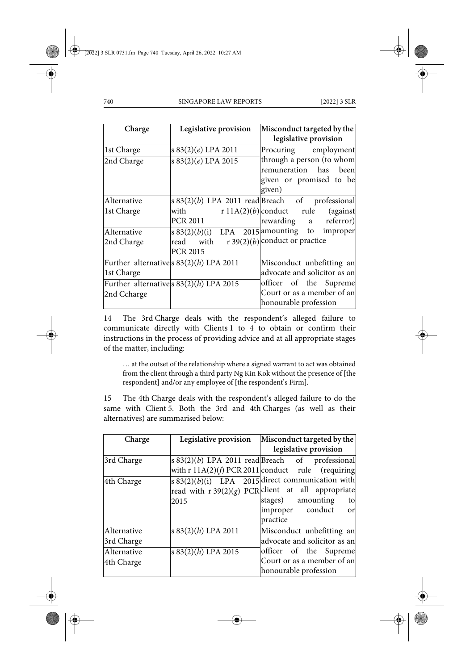| Charge      | Legislative provision                              | Misconduct targeted by the                        |
|-------------|----------------------------------------------------|---------------------------------------------------|
|             |                                                    | legislative provision                             |
| 1st Charge  | s 83(2)(e) LPA 2011                                | Procuring employment                              |
| 2nd Charge  | s 83(2)(e) LPA 2015                                | through a person (to whom                         |
|             |                                                    | remuneration has<br>beenl                         |
|             |                                                    | given or promised to be                           |
|             |                                                    | given)                                            |
| Alternative |                                                    | $s 83(2)(b)$ LPA 2011 read Breach of professional |
| 1st Charge  | with                                               | $r 11A(2)(b)$ conduct rule<br>(against)           |
|             | PCR 2011                                           | rewarding a referror)                             |
| Alternative | s $83(2)(b)(i)$ LPA $2\overline{015}$ amounting to | improper                                          |
| 2nd Charge  | with<br>read                                       | r 39(2)(b) conduct or practice                    |
|             | <b>PCR 2015</b>                                    |                                                   |
|             | Further alternatives $83(2)(h)$ LPA 2011           | Misconduct unbefitting an                         |
| 1st Charge  |                                                    | advocate and solicitor as an                      |
|             | Further alternatives $83(2)(h)$ LPA 2015           | officer of the Supreme                            |
| 2nd Ccharge |                                                    | Court or as a member of an                        |
|             |                                                    | honourable profession                             |

14 The 3rd Charge deals with the respondent's alleged failure to communicate directly with Clients 1 to 4 to obtain or confirm their instructions in the process of providing advice and at all appropriate stages of the matter, including:

… at the outset of the relationship where a signed warrant to act was obtained from the client through a third party Ng Kin Kok without the presence of [the respondent] and/or any employee of [the respondent's Firm].

15 The 4th Charge deals with the respondent's alleged failure to do the same with Client 5. Both the 3rd and 4th Charges (as well as their alternatives) are summarised below:

| Charge      | Legislative provision | Misconduct targeted by the                                     |
|-------------|-----------------------|----------------------------------------------------------------|
|             |                       | legislative provision                                          |
| 3rd Charge  |                       | $ s 83(2)(b)$ LPA 2011 read Breach of professional             |
|             |                       | with r $11A(2)(f)$ PCR 2011 conduct rule (requiring            |
| 4th Charge  |                       | s $83(2)(b)(i)$ LPA 2015 direct communication with             |
|             |                       | read with $r \frac{39(2)(g)}{2}$ PCR client at all appropriate |
|             | 2015                  | amounting<br>stages)<br>to                                     |
|             |                       | improper conduct<br>or                                         |
|             |                       | practice                                                       |
| Alternative | s $83(2)(h)$ LPA 2011 | Misconduct unbefitting an                                      |
| 3rd Charge  |                       | advocate and solicitor as an                                   |
| Alternative | s 83(2)(h) LPA 2015   | officer of the Supreme                                         |
| 4th Charge  |                       | Court or as a member of an                                     |
|             |                       | honourable profession                                          |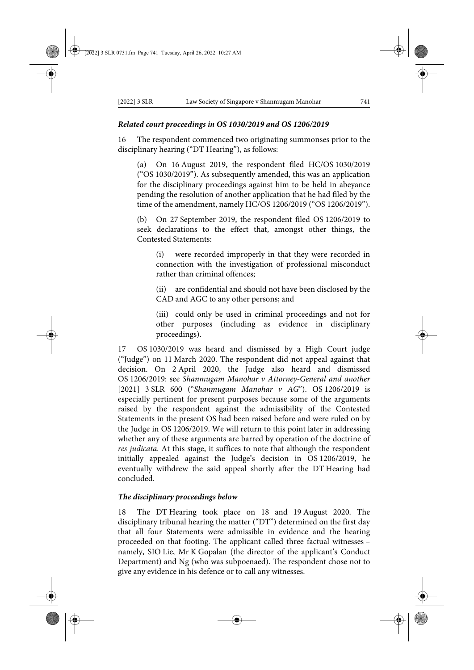#### *Related court proceedings in OS 1030/2019 and OS 1206/2019*

16 The respondent commenced two originating summonses prior to the disciplinary hearing ("DT Hearing"), as follows:

(a) On 16 August 2019, the respondent filed HC/OS 1030/2019 ("OS 1030/2019"). As subsequently amended, this was an application for the disciplinary proceedings against him to be held in abeyance pending the resolution of another application that he had filed by the time of the amendment, namely HC/OS 1206/2019 ("OS 1206/2019").

(b) On 27 September 2019, the respondent filed OS 1206/2019 to seek declarations to the effect that, amongst other things, the Contested Statements:

(i) were recorded improperly in that they were recorded in connection with the investigation of professional misconduct rather than criminal offences;

(ii) are confidential and should not have been disclosed by the CAD and AGC to any other persons; and

(iii) could only be used in criminal proceedings and not for other purposes (including as evidence in disciplinary proceedings).

17 OS 1030/2019 was heard and dismissed by a High Court judge ("Judge") on 11 March 2020. The respondent did not appeal against that decision. On 2 April 2020, the Judge also heard and dismissed OS 1206/2019: see *Shanmugam Manohar v Attorney-General and another* [2021] 3 SLR 600 ("*Shanmugam Manohar v AG*"). OS 1206/2019 is especially pertinent for present purposes because some of the arguments raised by the respondent against the admissibility of the Contested Statements in the present OS had been raised before and were ruled on by the Judge in OS 1206/2019. We will return to this point later in addressing whether any of these arguments are barred by operation of the doctrine of *res judicata*. At this stage, it suffices to note that although the respondent initially appealed against the Judge's decision in OS 1206/2019, he eventually withdrew the said appeal shortly after the DT Hearing had concluded.

### *The disciplinary proceedings below*

18 The DT Hearing took place on 18 and 19 August 2020. The disciplinary tribunal hearing the matter ("DT") determined on the first day that all four Statements were admissible in evidence and the hearing proceeded on that footing. The applicant called three factual witnesses – namely, SIO Lie, Mr K Gopalan (the director of the applicant's Conduct Department) and Ng (who was subpoenaed). The respondent chose not to give any evidence in his defence or to call any witnesses.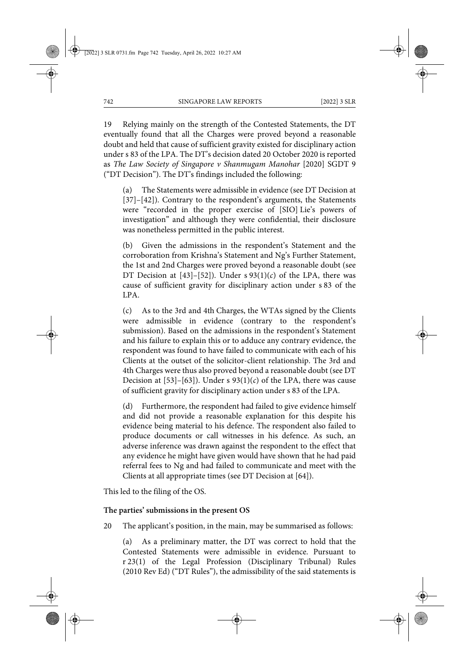19 Relying mainly on the strength of the Contested Statements, the DT eventually found that all the Charges were proved beyond a reasonable doubt and held that cause of sufficient gravity existed for disciplinary action under s 83 of the LPA. The DT's decision dated 20 October 2020 is reported as *The Law Society of Singapore v Shanmugam Manohar* [2020] SGDT 9 ("DT Decision"). The DT's findings included the following:

(a) The Statements were admissible in evidence (see DT Decision at [37]–[42]). Contrary to the respondent's arguments, the Statements were "recorded in the proper exercise of [SIO] Lie's powers of investigation" and although they were confidential, their disclosure was nonetheless permitted in the public interest.

(b) Given the admissions in the respondent's Statement and the corroboration from Krishna's Statement and Ng's Further Statement, the 1st and 2nd Charges were proved beyond a reasonable doubt (see DT Decision at  $[43]$ - $[52]$ ). Under s  $93(1)(c)$  of the LPA, there was cause of sufficient gravity for disciplinary action under s 83 of the LPA.

(c) As to the 3rd and 4th Charges, the WTAs signed by the Clients were admissible in evidence (contrary to the respondent's submission). Based on the admissions in the respondent's Statement and his failure to explain this or to adduce any contrary evidence, the respondent was found to have failed to communicate with each of his Clients at the outset of the solicitor-client relationship. The 3rd and 4th Charges were thus also proved beyond a reasonable doubt (see DT Decision at [53]–[63]). Under s  $93(1)(c)$  of the LPA, there was cause of sufficient gravity for disciplinary action under s 83 of the LPA.

(d) Furthermore, the respondent had failed to give evidence himself and did not provide a reasonable explanation for this despite his evidence being material to his defence. The respondent also failed to produce documents or call witnesses in his defence. As such, an adverse inference was drawn against the respondent to the effect that any evidence he might have given would have shown that he had paid referral fees to Ng and had failed to communicate and meet with the Clients at all appropriate times (see DT Decision at [64]).

This led to the filing of the OS.

# **The parties' submissions in the present OS**

20 The applicant's position, in the main, may be summarised as follows:

(a) As a preliminary matter, the DT was correct to hold that the Contested Statements were admissible in evidence. Pursuant to r 23(1) of the Legal Profession (Disciplinary Tribunal) Rules (2010 Rev Ed) ("DT Rules"), the admissibility of the said statements is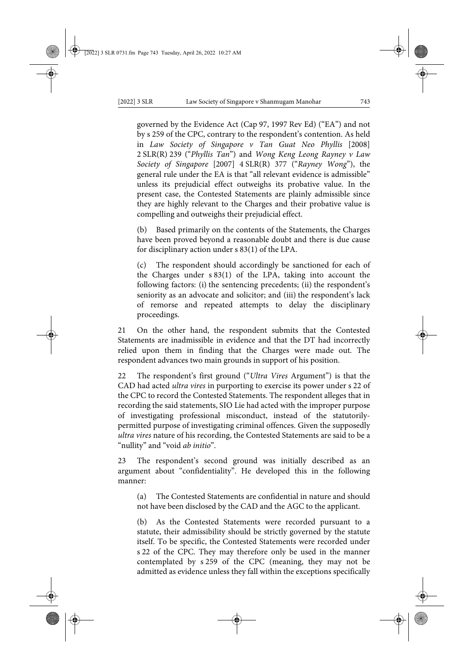governed by the Evidence Act (Cap 97, 1997 Rev Ed) ("EA") and not by s 259 of the CPC, contrary to the respondent's contention. As held in *Law Society of Singapore v Tan Guat Neo Phyllis* [2008] 2 SLR(R) 239 ("*Phyllis Tan*") and *Wong Keng Leong Rayney v Law Society of Singapore* [2007] 4 SLR(R) 377 ("*Rayney Wong*"), the general rule under the EA is that "all relevant evidence is admissible" unless its prejudicial effect outweighs its probative value. In the present case, the Contested Statements are plainly admissible since they are highly relevant to the Charges and their probative value is compelling and outweighs their prejudicial effect.

(b) Based primarily on the contents of the Statements, the Charges have been proved beyond a reasonable doubt and there is due cause for disciplinary action under s 83(1) of the LPA.

(c) The respondent should accordingly be sanctioned for each of the Charges under s 83(1) of the LPA, taking into account the following factors: (i) the sentencing precedents; (ii) the respondent's seniority as an advocate and solicitor; and (iii) the respondent's lack of remorse and repeated attempts to delay the disciplinary proceedings.

21 On the other hand, the respondent submits that the Contested Statements are inadmissible in evidence and that the DT had incorrectly relied upon them in finding that the Charges were made out. The respondent advances two main grounds in support of his position.

22 The respondent's first ground ("*Ultra Vires* Argument") is that the CAD had acted *ultra vires* in purporting to exercise its power under s 22 of the CPC to record the Contested Statements. The respondent alleges that in recording the said statements, SIO Lie had acted with the improper purpose of investigating professional misconduct, instead of the statutorilypermitted purpose of investigating criminal offences. Given the supposedly *ultra vires* nature of his recording, the Contested Statements are said to be a "nullity" and "void *ab initio*".

23 The respondent's second ground was initially described as an argument about "confidentiality". He developed this in the following manner:

(a) The Contested Statements are confidential in nature and should not have been disclosed by the CAD and the AGC to the applicant.

(b) As the Contested Statements were recorded pursuant to a statute, their admissibility should be strictly governed by the statute itself. To be specific, the Contested Statements were recorded under s 22 of the CPC. They may therefore only be used in the manner contemplated by s 259 of the CPC (meaning, they may not be admitted as evidence unless they fall within the exceptions specifically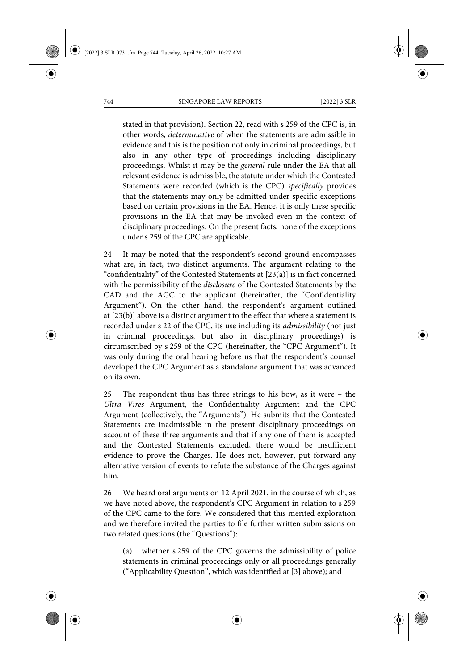stated in that provision). Section 22, read with s 259 of the CPC is, in other words, *determinative* of when the statements are admissible in evidence and this is the position not only in criminal proceedings, but also in any other type of proceedings including disciplinary proceedings. Whilst it may be the *general* rule under the EA that all relevant evidence is admissible, the statute under which the Contested Statements were recorded (which is the CPC) *specifically* provides that the statements may only be admitted under specific exceptions based on certain provisions in the EA. Hence, it is only these specific provisions in the EA that may be invoked even in the context of disciplinary proceedings. On the present facts, none of the exceptions under s 259 of the CPC are applicable.

24 It may be noted that the respondent's second ground encompasses what are, in fact, two distinct arguments. The argument relating to the "confidentiality" of the Contested Statements at [23(a)] is in fact concerned with the permissibility of the *disclosure* of the Contested Statements by the CAD and the AGC to the applicant (hereinafter, the "Confidentiality Argument"). On the other hand, the respondent's argument outlined at [23(b)] above is a distinct argument to the effect that where a statement is recorded under s 22 of the CPC, its use including its *admissibility* (not just in criminal proceedings, but also in disciplinary proceedings) is circumscribed by s 259 of the CPC (hereinafter, the "CPC Argument"). It was only during the oral hearing before us that the respondent's counsel developed the CPC Argument as a standalone argument that was advanced on its own.

25 The respondent thus has three strings to his bow, as it were – the *Ultra Vires* Argument, the Confidentiality Argument and the CPC Argument (collectively, the "Arguments"). He submits that the Contested Statements are inadmissible in the present disciplinary proceedings on account of these three arguments and that if any one of them is accepted and the Contested Statements excluded, there would be insufficient evidence to prove the Charges. He does not, however, put forward any alternative version of events to refute the substance of the Charges against him.

26 We heard oral arguments on 12 April 2021, in the course of which, as we have noted above, the respondent's CPC Argument in relation to s 259 of the CPC came to the fore. We considered that this merited exploration and we therefore invited the parties to file further written submissions on two related questions (the "Questions"):

(a) whether s 259 of the CPC governs the admissibility of police statements in criminal proceedings only or all proceedings generally ("Applicability Question", which was identified at [3] above); and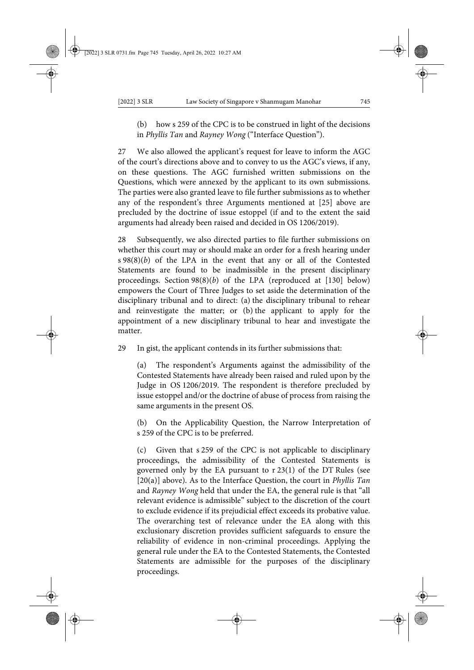(b) how s 259 of the CPC is to be construed in light of the decisions in *Phyllis Tan* and *Rayney Wong* ("Interface Question").

27 We also allowed the applicant's request for leave to inform the AGC of the court's directions above and to convey to us the AGC's views, if any, on these questions. The AGC furnished written submissions on the Questions, which were annexed by the applicant to its own submissions. The parties were also granted leave to file further submissions as to whether any of the respondent's three Arguments mentioned at [25] above are precluded by the doctrine of issue estoppel (if and to the extent the said arguments had already been raised and decided in OS 1206/2019).

28 Subsequently, we also directed parties to file further submissions on whether this court may or should make an order for a fresh hearing under s 98(8)(*b*) of the LPA in the event that any or all of the Contested Statements are found to be inadmissible in the present disciplinary proceedings. Section 98(8)(*b*) of the LPA (reproduced at [130] below) empowers the Court of Three Judges to set aside the determination of the disciplinary tribunal and to direct: (a) the disciplinary tribunal to rehear and reinvestigate the matter; or (b) the applicant to apply for the appointment of a new disciplinary tribunal to hear and investigate the matter.

29 In gist, the applicant contends in its further submissions that:

(a) The respondent's Arguments against the admissibility of the Contested Statements have already been raised and ruled upon by the Judge in OS 1206/2019. The respondent is therefore precluded by issue estoppel and/or the doctrine of abuse of process from raising the same arguments in the present OS.

On the Applicability Question, the Narrow Interpretation of s 259 of the CPC is to be preferred.

(c) Given that s 259 of the CPC is not applicable to disciplinary proceedings, the admissibility of the Contested Statements is governed only by the EA pursuant to r 23(1) of the DT Rules (see [20(a)] above). As to the Interface Question, the court in *Phyllis Tan* and *Rayney Wong* held that under the EA, the general rule is that "all relevant evidence is admissible" subject to the discretion of the court to exclude evidence if its prejudicial effect exceeds its probative value. The overarching test of relevance under the EA along with this exclusionary discretion provides sufficient safeguards to ensure the reliability of evidence in non-criminal proceedings. Applying the general rule under the EA to the Contested Statements, the Contested Statements are admissible for the purposes of the disciplinary proceedings.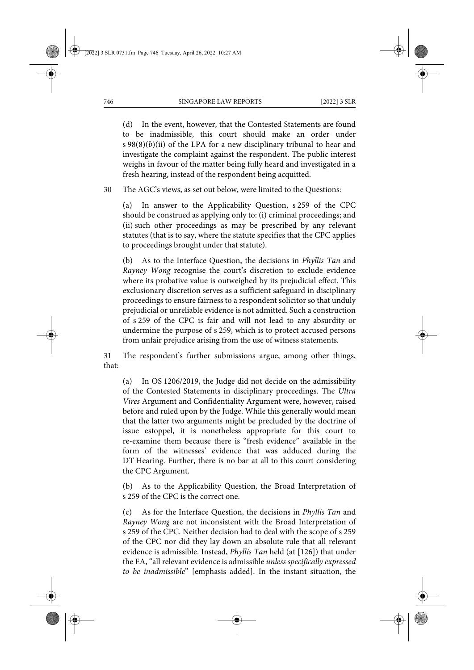(d) In the event, however, that the Contested Statements are found to be inadmissible, this court should make an order under s 98(8)(*b*)(ii) of the LPA for a new disciplinary tribunal to hear and investigate the complaint against the respondent. The public interest weighs in favour of the matter being fully heard and investigated in a fresh hearing, instead of the respondent being acquitted.

30 The AGC's views, as set out below, were limited to the Questions:

(a) In answer to the Applicability Question, s 259 of the CPC should be construed as applying only to: (i) criminal proceedings; and (ii) such other proceedings as may be prescribed by any relevant statutes (that is to say, where the statute specifies that the CPC applies to proceedings brought under that statute).

(b) As to the Interface Question, the decisions in *Phyllis Tan* and *Rayney Wong* recognise the court's discretion to exclude evidence where its probative value is outweighed by its prejudicial effect. This exclusionary discretion serves as a sufficient safeguard in disciplinary proceedings to ensure fairness to a respondent solicitor so that unduly prejudicial or unreliable evidence is not admitted. Such a construction of s 259 of the CPC is fair and will not lead to any absurdity or undermine the purpose of s 259, which is to protect accused persons from unfair prejudice arising from the use of witness statements.

31 The respondent's further submissions argue, among other things, that:

(a) In OS 1206/2019, the Judge did not decide on the admissibility of the Contested Statements in disciplinary proceedings. The *Ultra Vires* Argument and Confidentiality Argument were, however, raised before and ruled upon by the Judge. While this generally would mean that the latter two arguments might be precluded by the doctrine of issue estoppel, it is nonetheless appropriate for this court to re-examine them because there is "fresh evidence" available in the form of the witnesses' evidence that was adduced during the DT Hearing. Further, there is no bar at all to this court considering the CPC Argument.

(b) As to the Applicability Question, the Broad Interpretation of s 259 of the CPC is the correct one.

(c) As for the Interface Question, the decisions in *Phyllis Tan* and *Rayney Wong* are not inconsistent with the Broad Interpretation of s 259 of the CPC. Neither decision had to deal with the scope of s 259 of the CPC nor did they lay down an absolute rule that all relevant evidence is admissible. Instead, *Phyllis Tan* held (at [126]) that under the EA, "all relevant evidence is admissible *unless specifically expressed to be inadmissible*" [emphasis added]. In the instant situation, the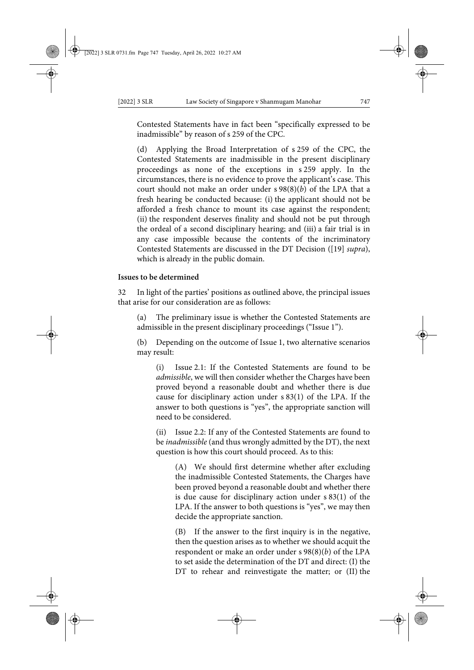Contested Statements have in fact been "specifically expressed to be inadmissible" by reason of s 259 of the CPC.

(d) Applying the Broad Interpretation of s 259 of the CPC, the Contested Statements are inadmissible in the present disciplinary proceedings as none of the exceptions in s 259 apply. In the circumstances, there is no evidence to prove the applicant's case. This court should not make an order under s 98(8)(*b*) of the LPA that a fresh hearing be conducted because: (i) the applicant should not be afforded a fresh chance to mount its case against the respondent; (ii) the respondent deserves finality and should not be put through the ordeal of a second disciplinary hearing; and (iii) a fair trial is in any case impossible because the contents of the incriminatory Contested Statements are discussed in the DT Decision ([19] *supra*), which is already in the public domain.

### **Issues to be determined**

32 In light of the parties' positions as outlined above, the principal issues that arise for our consideration are as follows:

(a) The preliminary issue is whether the Contested Statements are admissible in the present disciplinary proceedings ("Issue 1").

(b) Depending on the outcome of Issue 1, two alternative scenarios may result:

(i) Issue 2.1: If the Contested Statements are found to be *admissible*, we will then consider whether the Charges have been proved beyond a reasonable doubt and whether there is due cause for disciplinary action under s 83(1) of the LPA. If the answer to both questions is "yes", the appropriate sanction will need to be considered.

(ii) Issue 2.2: If any of the Contested Statements are found to be *inadmissible* (and thus wrongly admitted by the DT), the next question is how this court should proceed. As to this:

(A) We should first determine whether after excluding the inadmissible Contested Statements, the Charges have been proved beyond a reasonable doubt and whether there is due cause for disciplinary action under s 83(1) of the LPA. If the answer to both questions is "yes", we may then decide the appropriate sanction.

(B) If the answer to the first inquiry is in the negative, then the question arises as to whether we should acquit the respondent or make an order under s 98(8)(*b*) of the LPA to set aside the determination of the DT and direct: (I) the DT to rehear and reinvestigate the matter; or (II) the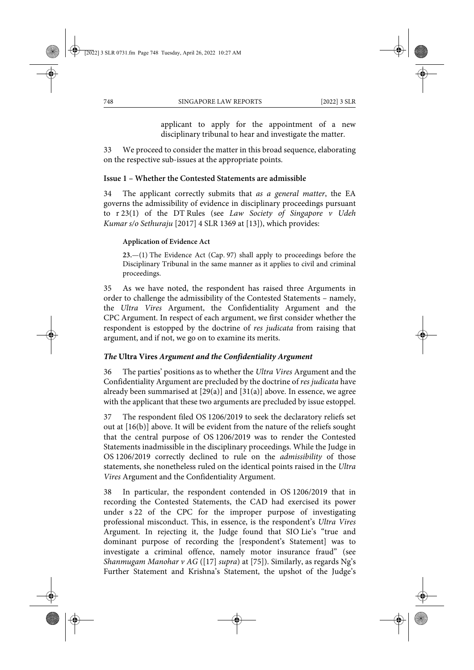applicant to apply for the appointment of a new disciplinary tribunal to hear and investigate the matter.

33 We proceed to consider the matter in this broad sequence, elaborating on the respective sub-issues at the appropriate points.

# **Issue 1 – Whether the Contested Statements are admissible**

34 The applicant correctly submits that *as a general matter*, the EA governs the admissibility of evidence in disciplinary proceedings pursuant to r 23(1) of the DT Rules (see *Law Society of Singapore v Udeh Kumar s/o Sethuraju* [2017] 4 SLR 1369 at [13]), which provides:

### **Application of Evidence Act**

**23.**—(1) The Evidence Act (Cap. 97) shall apply to proceedings before the Disciplinary Tribunal in the same manner as it applies to civil and criminal proceedings.

35 As we have noted, the respondent has raised three Arguments in order to challenge the admissibility of the Contested Statements – namely, the *Ultra Vires* Argument, the Confidentiality Argument and the CPC Argument. In respect of each argument, we first consider whether the respondent is estopped by the doctrine of *res judicata* from raising that argument, and if not, we go on to examine its merits.

# *The* **Ultra Vires** *Argument and the Confidentiality Argument*

36 The parties' positions as to whether the *Ultra Vires* Argument and the Confidentiality Argument are precluded by the doctrine of *res judicata* have already been summarised at [29(a)] and [31(a)] above. In essence, we agree with the applicant that these two arguments are precluded by issue estoppel.

37 The respondent filed OS 1206/2019 to seek the declaratory reliefs set out at [16(b)] above. It will be evident from the nature of the reliefs sought that the central purpose of OS 1206/2019 was to render the Contested Statements inadmissible in the disciplinary proceedings. While the Judge in OS 1206/2019 correctly declined to rule on the *admissibility* of those statements, she nonetheless ruled on the identical points raised in the *Ultra Vires* Argument and the Confidentiality Argument.

38 In particular, the respondent contended in OS 1206/2019 that in recording the Contested Statements, the CAD had exercised its power under s 22 of the CPC for the improper purpose of investigating professional misconduct. This, in essence, is the respondent's *Ultra Vires* Argument. In rejecting it, the Judge found that SIO Lie's "true and dominant purpose of recording the [respondent's Statement] was to investigate a criminal offence, namely motor insurance fraud" (see *Shanmugam Manohar v AG* ([17] *supra*) at [75]). Similarly, as regards Ng's Further Statement and Krishna's Statement, the upshot of the Judge's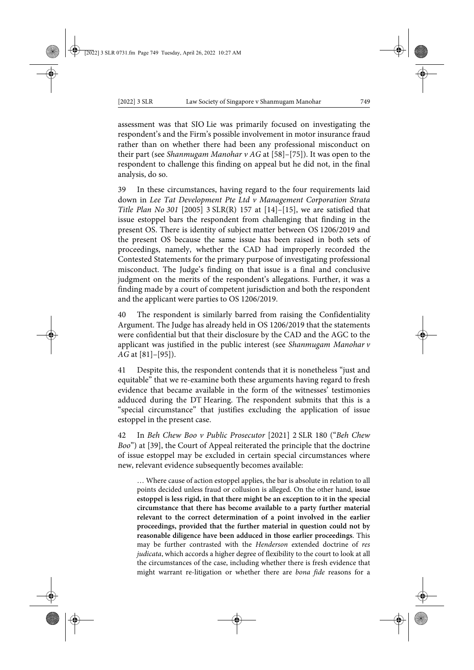assessment was that SIO Lie was primarily focused on investigating the respondent's and the Firm's possible involvement in motor insurance fraud rather than on whether there had been any professional misconduct on their part (see *Shanmugam Manohar v AG* at [58]–[75]). It was open to the respondent to challenge this finding on appeal but he did not, in the final analysis, do so.

39 In these circumstances, having regard to the four requirements laid down in *Lee Tat Development Pte Ltd v Management Corporation Strata Title Plan No 301* [2005] 3 SLR(R) 157 at [14]–[15], we are satisfied that issue estoppel bars the respondent from challenging that finding in the present OS. There is identity of subject matter between OS 1206/2019 and the present OS because the same issue has been raised in both sets of proceedings, namely, whether the CAD had improperly recorded the Contested Statements for the primary purpose of investigating professional misconduct. The Judge's finding on that issue is a final and conclusive judgment on the merits of the respondent's allegations. Further, it was a finding made by a court of competent jurisdiction and both the respondent and the applicant were parties to OS 1206/2019.

40 The respondent is similarly barred from raising the Confidentiality Argument. The Judge has already held in OS 1206/2019 that the statements were confidential but that their disclosure by the CAD and the AGC to the applicant was justified in the public interest (see *Shanmugam Manohar v AG* at [81]–[95]).

41 Despite this, the respondent contends that it is nonetheless "just and equitable" that we re-examine both these arguments having regard to fresh evidence that became available in the form of the witnesses' testimonies adduced during the DT Hearing. The respondent submits that this is a "special circumstance" that justifies excluding the application of issue estoppel in the present case.

42 In *Beh Chew Boo v Public Prosecutor* [2021] 2 SLR 180 ("*Beh Chew Boo*") at [39], the Court of Appeal reiterated the principle that the doctrine of issue estoppel may be excluded in certain special circumstances where new, relevant evidence subsequently becomes available:

… Where cause of action estoppel applies, the bar is absolute in relation to all points decided unless fraud or collusion is alleged. On the other hand, **issue estoppel is less rigid, in that there might be an exception to it in the special circumstance that there has become available to a party further material relevant to the correct determination of a point involved in the earlier proceedings, provided that the further material in question could not by reasonable diligence have been adduced in those earlier proceedings**. This may be further contrasted with the *Henderson* extended doctrine of *res judicata*, which accords a higher degree of flexibility to the court to look at all the circumstances of the case, including whether there is fresh evidence that might warrant re-litigation or whether there are *bona fide* reasons for a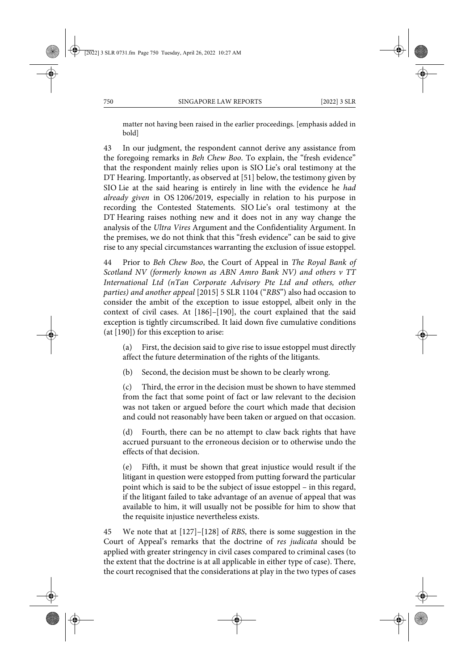matter not having been raised in the earlier proceedings. [emphasis added in bold]

43 In our judgment, the respondent cannot derive any assistance from the foregoing remarks in *Beh Chew Boo*. To explain, the "fresh evidence" that the respondent mainly relies upon is SIO Lie's oral testimony at the DT Hearing. Importantly, as observed at [51] below, the testimony given by SIO Lie at the said hearing is entirely in line with the evidence he *had already given* in OS 1206/2019, especially in relation to his purpose in recording the Contested Statements. SIO Lie's oral testimony at the DT Hearing raises nothing new and it does not in any way change the analysis of the *Ultra Vires* Argument and the Confidentiality Argument. In the premises, we do not think that this "fresh evidence" can be said to give rise to any special circumstances warranting the exclusion of issue estoppel.

44 Prior to *Beh Chew Boo*, the Court of Appeal in *The Royal Bank of Scotland NV (formerly known as ABN Amro Bank NV) and others v TT International Ltd (nTan Corporate Advisory Pte Ltd and others, other parties) and another appeal* [2015] 5 SLR 1104 ("*RBS*") also had occasion to consider the ambit of the exception to issue estoppel, albeit only in the context of civil cases. At [186]–[190], the court explained that the said exception is tightly circumscribed. It laid down five cumulative conditions (at [190]) for this exception to arise:

(a) First, the decision said to give rise to issue estoppel must directly affect the future determination of the rights of the litigants.

(b) Second, the decision must be shown to be clearly wrong.

(c) Third, the error in the decision must be shown to have stemmed from the fact that some point of fact or law relevant to the decision was not taken or argued before the court which made that decision and could not reasonably have been taken or argued on that occasion.

(d) Fourth, there can be no attempt to claw back rights that have accrued pursuant to the erroneous decision or to otherwise undo the effects of that decision.

(e) Fifth, it must be shown that great injustice would result if the litigant in question were estopped from putting forward the particular point which is said to be the subject of issue estoppel – in this regard, if the litigant failed to take advantage of an avenue of appeal that was available to him, it will usually not be possible for him to show that the requisite injustice nevertheless exists.

45 We note that at [127]–[128] of *RBS*, there is some suggestion in the Court of Appeal's remarks that the doctrine of *res judicata* should be applied with greater stringency in civil cases compared to criminal cases (to the extent that the doctrine is at all applicable in either type of case). There, the court recognised that the considerations at play in the two types of cases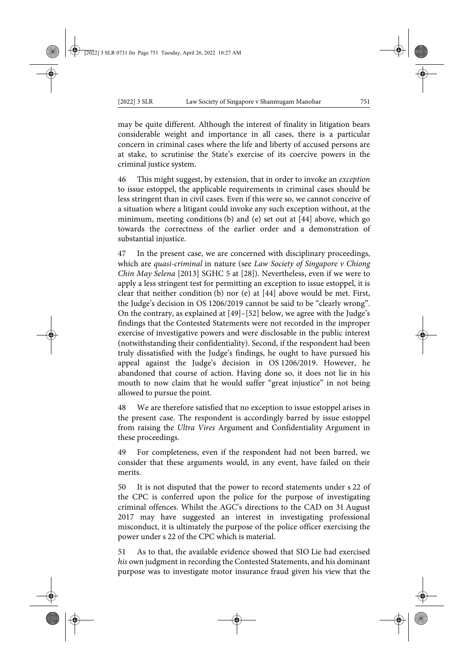may be quite different. Although the interest of finality in litigation bears considerable weight and importance in all cases, there is a particular concern in criminal cases where the life and liberty of accused persons are at stake, to scrutinise the State's exercise of its coercive powers in the criminal justice system.

46 This might suggest, by extension, that in order to invoke an *exception* to issue estoppel, the applicable requirements in criminal cases should be less stringent than in civil cases. Even if this were so, we cannot conceive of a situation where a litigant could invoke any such exception without, at the minimum, meeting conditions (b) and (e) set out at [44] above, which go towards the correctness of the earlier order and a demonstration of substantial injustice.

47 In the present case, we are concerned with disciplinary proceedings, which are *quasi-criminal* in nature (see *Law Society of Singapore v Chiong Chin May Selena* [2013] SGHC 5 at [28]). Nevertheless, even if we were to apply a less stringent test for permitting an exception to issue estoppel, it is clear that neither condition (b) nor (e) at [44] above would be met. First, the Judge's decision in OS 1206/2019 cannot be said to be "clearly wrong". On the contrary, as explained at [49]–[52] below, we agree with the Judge's findings that the Contested Statements were not recorded in the improper exercise of investigative powers and were disclosable in the public interest (notwithstanding their confidentiality). Second, if the respondent had been truly dissatisfied with the Judge's findings, he ought to have pursued his appeal against the Judge's decision in OS 1206/2019. However, he abandoned that course of action. Having done so, it does not lie in his mouth to now claim that he would suffer "great injustice" in not being allowed to pursue the point.

48 We are therefore satisfied that no exception to issue estoppel arises in the present case. The respondent is accordingly barred by issue estoppel from raising the *Ultra Vires* Argument and Confidentiality Argument in these proceedings.

49 For completeness, even if the respondent had not been barred, we consider that these arguments would, in any event, have failed on their merits.

50 It is not disputed that the power to record statements under s 22 of the CPC is conferred upon the police for the purpose of investigating criminal offences. Whilst the AGC's directions to the CAD on 31 August 2017 may have suggested an interest in investigating professional misconduct, it is ultimately the purpose of the police officer exercising the power under s 22 of the CPC which is material.

51 As to that, the available evidence showed that SIO Lie had exercised *his* own judgment in recording the Contested Statements, and his dominant purpose was to investigate motor insurance fraud given his view that the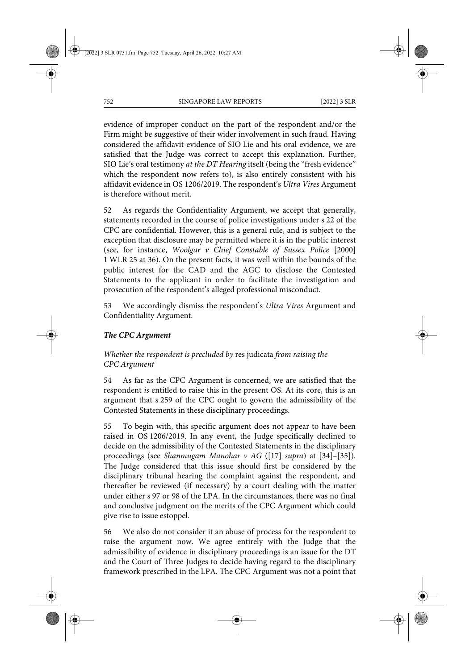evidence of improper conduct on the part of the respondent and/or the Firm might be suggestive of their wider involvement in such fraud. Having considered the affidavit evidence of SIO Lie and his oral evidence, we are satisfied that the Judge was correct to accept this explanation. Further, SIO Lie's oral testimony *at the DT Hearing* itself (being the "fresh evidence" which the respondent now refers to), is also entirely consistent with his affidavit evidence in OS 1206/2019. The respondent's *Ultra Vires* Argument is therefore without merit.

52 As regards the Confidentiality Argument, we accept that generally, statements recorded in the course of police investigations under s 22 of the CPC are confidential. However, this is a general rule, and is subject to the exception that disclosure may be permitted where it is in the public interest (see, for instance, *Woolgar v Chief Constable of Sussex Police* [2000] 1 WLR 25 at 36). On the present facts, it was well within the bounds of the public interest for the CAD and the AGC to disclose the Contested Statements to the applicant in order to facilitate the investigation and prosecution of the respondent's alleged professional misconduct.

53 We accordingly dismiss the respondent's *Ultra Vires* Argument and Confidentiality Argument.

# *The CPC Argument*

# *Whether the respondent is precluded by* res judicata *from raising the CPC Argument*

54 As far as the CPC Argument is concerned, we are satisfied that the respondent *is* entitled to raise this in the present OS. At its core, this is an argument that s 259 of the CPC ought to govern the admissibility of the Contested Statements in these disciplinary proceedings.

55 To begin with, this specific argument does not appear to have been raised in OS 1206/2019. In any event, the Judge specifically declined to decide on the admissibility of the Contested Statements in the disciplinary proceedings (see *Shanmugam Manohar v AG* ([17] *supra*) at [34]–[35]). The Judge considered that this issue should first be considered by the disciplinary tribunal hearing the complaint against the respondent, and thereafter be reviewed (if necessary) by a court dealing with the matter under either s 97 or 98 of the LPA. In the circumstances, there was no final and conclusive judgment on the merits of the CPC Argument which could give rise to issue estoppel.

56 We also do not consider it an abuse of process for the respondent to raise the argument now. We agree entirely with the Judge that the admissibility of evidence in disciplinary proceedings is an issue for the DT and the Court of Three Judges to decide having regard to the disciplinary framework prescribed in the LPA. The CPC Argument was not a point that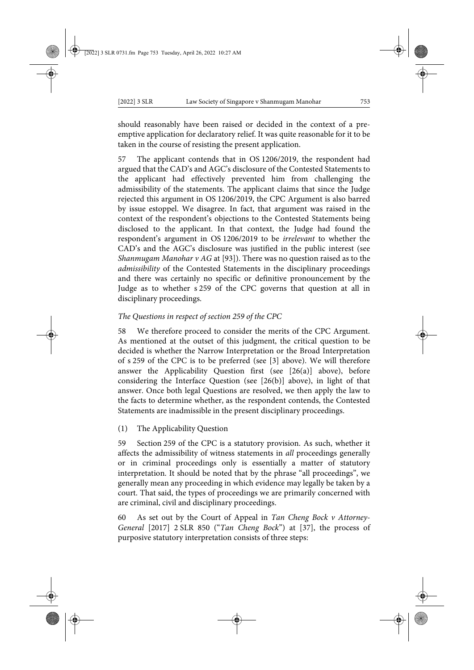should reasonably have been raised or decided in the context of a preemptive application for declaratory relief. It was quite reasonable for it to be taken in the course of resisting the present application.

57 The applicant contends that in OS 1206/2019, the respondent had argued that the CAD's and AGC's disclosure of the Contested Statements to the applicant had effectively prevented him from challenging the admissibility of the statements. The applicant claims that since the Judge rejected this argument in OS 1206/2019, the CPC Argument is also barred by issue estoppel. We disagree. In fact, that argument was raised in the context of the respondent's objections to the Contested Statements being disclosed to the applicant. In that context, the Judge had found the respondent's argument in OS 1206/2019 to be *irrelevant* to whether the CAD's and the AGC's disclosure was justified in the public interest (see *Shanmugam Manohar v AG* at [93]). There was no question raised as to the *admissibility* of the Contested Statements in the disciplinary proceedings and there was certainly no specific or definitive pronouncement by the Judge as to whether s 259 of the CPC governs that question at all in disciplinary proceedings.

# *The Questions in respect of section 259 of the CPC*

58 We therefore proceed to consider the merits of the CPC Argument. As mentioned at the outset of this judgment, the critical question to be decided is whether the Narrow Interpretation or the Broad Interpretation of s 259 of the CPC is to be preferred (see [3] above). We will therefore answer the Applicability Question first (see [26(a)] above), before considering the Interface Question (see [26(b)] above), in light of that answer. Once both legal Questions are resolved, we then apply the law to the facts to determine whether, as the respondent contends, the Contested Statements are inadmissible in the present disciplinary proceedings.

(1) The Applicability Question

59 Section 259 of the CPC is a statutory provision. As such, whether it affects the admissibility of witness statements in *all* proceedings generally or in criminal proceedings only is essentially a matter of statutory interpretation. It should be noted that by the phrase "all proceedings", we generally mean any proceeding in which evidence may legally be taken by a court. That said, the types of proceedings we are primarily concerned with are criminal, civil and disciplinary proceedings.

60 As set out by the Court of Appeal in *Tan Cheng Bock v Attorney-General* [2017] 2 SLR 850 ("*Tan Cheng Bock*") at [37], the process of purposive statutory interpretation consists of three steps: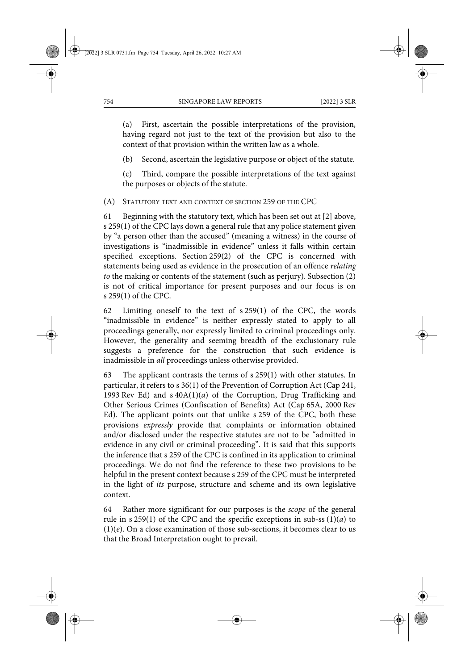(a) First, ascertain the possible interpretations of the provision, having regard not just to the text of the provision but also to the context of that provision within the written law as a whole.

(b) Second, ascertain the legislative purpose or object of the statute.

(c) Third, compare the possible interpretations of the text against the purposes or objects of the statute.

(A) STATUTORY TEXT AND CONTEXT OF SECTION 259 OF THE CPC

61 Beginning with the statutory text, which has been set out at [2] above, s 259(1) of the CPC lays down a general rule that any police statement given by "a person other than the accused" (meaning a witness) in the course of investigations is "inadmissible in evidence" unless it falls within certain specified exceptions. Section 259(2) of the CPC is concerned with statements being used as evidence in the prosecution of an offence *relating to* the making or contents of the statement (such as perjury). Subsection (2) is not of critical importance for present purposes and our focus is on s 259(1) of the CPC.

62 Limiting oneself to the text of s 259(1) of the CPC, the words "inadmissible in evidence" is neither expressly stated to apply to all proceedings generally, nor expressly limited to criminal proceedings only. However, the generality and seeming breadth of the exclusionary rule suggests a preference for the construction that such evidence is inadmissible in *all* proceedings unless otherwise provided.

63 The applicant contrasts the terms of s 259(1) with other statutes. In particular, it refers to s 36(1) of the Prevention of Corruption Act (Cap 241, 1993 Rev Ed) and s 40A(1)(*a*) of the Corruption, Drug Trafficking and Other Serious Crimes (Confiscation of Benefits) Act (Cap 65A, 2000 Rev Ed). The applicant points out that unlike s 259 of the CPC, both these provisions *expressly* provide that complaints or information obtained and/or disclosed under the respective statutes are not to be "admitted in evidence in any civil or criminal proceeding". It is said that this supports the inference that s 259 of the CPC is confined in its application to criminal proceedings. We do not find the reference to these two provisions to be helpful in the present context because s 259 of the CPC must be interpreted in the light of *its* purpose, structure and scheme and its own legislative context.

64 Rather more significant for our purposes is the *scope* of the general rule in s 259(1) of the CPC and the specific exceptions in sub-ss  $(1)(a)$  to  $(1)(e)$ . On a close examination of those sub-sections, it becomes clear to us that the Broad Interpretation ought to prevail.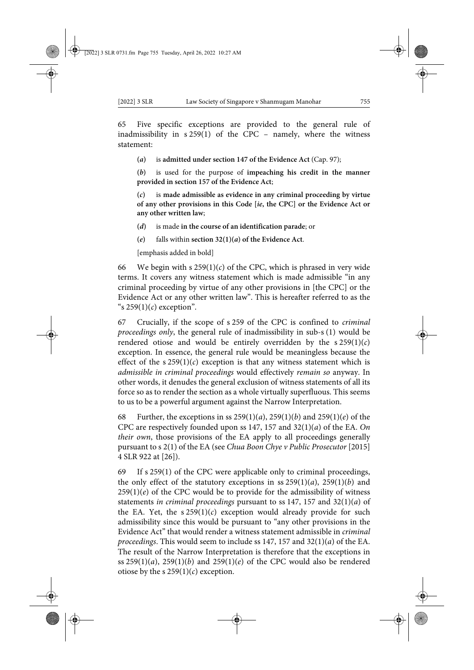65 Five specific exceptions are provided to the general rule of inadmissibility in s 259(1) of the CPC – namely, where the witness statement:

**(***a***)** is **admitted under section 147 of the Evidence Act** (Cap. 97);

**(***b***)** is used for the purpose of **impeaching his credit in the manner provided in section 157 of the Evidence Act**;

**(***c***)** is **made admissible as evidence in any criminal proceeding by virtue of any other provisions in this Code [***ie***, the CPC] or the Evidence Act or any other written law**;

**(***d***)** is made **in the course of an identification parade**; or

**(***e***)** falls within **section 32(1)(***a***) of the Evidence Act**.

[emphasis added in bold]

66 We begin with s  $259(1)(c)$  of the CPC, which is phrased in very wide terms. It covers any witness statement which is made admissible "in any criminal proceeding by virtue of any other provisions in [the CPC] or the Evidence Act or any other written law". This is hereafter referred to as the "s 259(1)(*c*) exception".

67 Crucially, if the scope of s 259 of the CPC is confined to *criminal proceedings only*, the general rule of inadmissibility in sub-s (1) would be rendered otiose and would be entirely overridden by the  $s 259(1)(c)$ exception. In essence, the general rule would be meaningless because the effect of the s  $259(1)(c)$  exception is that any witness statement which is *admissible in criminal proceedings* would effectively *remain so* anyway. In other words, it denudes the general exclusion of witness statements of all its force so as to render the section as a whole virtually superfluous. This seems to us to be a powerful argument against the Narrow Interpretation.

68 Further, the exceptions in ss 259(1)(*a*), 259(1)(*b*) and 259(1)(*e*) of the CPC are respectively founded upon ss 147, 157 and 32(1)(*a*) of the EA. *On their own*, those provisions of the EA apply to all proceedings generally pursuant to s 2(1) of the EA (see *Chua Boon Chye v Public Prosecutor* [2015] 4 SLR 922 at [26]).

69 If s 259(1) of the CPC were applicable only to criminal proceedings, the only effect of the statutory exceptions in ss  $259(1)(a)$ ,  $259(1)(b)$  and  $259(1)(e)$  of the CPC would be to provide for the admissibility of witness statements *in criminal proceedings* pursuant to ss 147, 157 and 32(1)(*a*) of the EA. Yet, the  $s 259(1)(c)$  exception would already provide for such admissibility since this would be pursuant to "any other provisions in the Evidence Act" that would render a witness statement admissible in *criminal proceedings*. This would seem to include ss 147, 157 and 32(1)(*a*) of the EA. The result of the Narrow Interpretation is therefore that the exceptions in ss  $259(1)(a)$ ,  $259(1)(b)$  and  $259(1)(e)$  of the CPC would also be rendered otiose by the s  $259(1)(c)$  exception.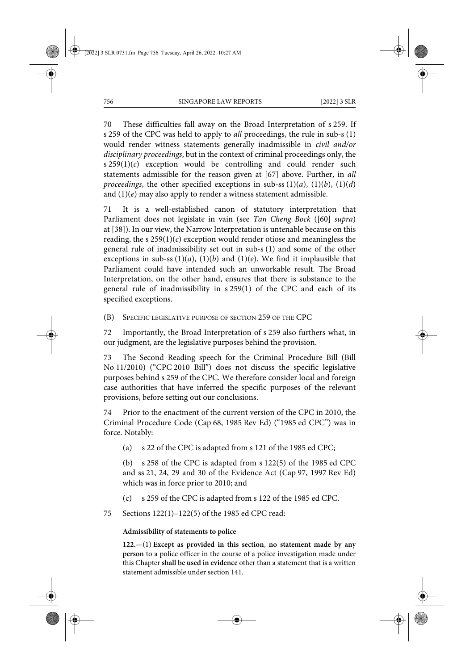70 These difficulties fall away on the Broad Interpretation of s 259. If s 259 of the CPC was held to apply to *all* proceedings, the rule in sub-s (1) would render witness statements generally inadmissible in *civil and/or disciplinary proceedings*, but in the context of criminal proceedings only, the s 259(1)(*c*) exception would be controlling and could render such statements admissible for the reason given at [67] above. Further, in *all proceedings*, the other specified exceptions in sub-ss  $(1)(a)$ ,  $(1)(b)$ ,  $(1)(d)$ and (1)(*e*) may also apply to render a witness statement admissible.

71 It is a well-established canon of statutory interpretation that Parliament does not legislate in vain (see *Tan Cheng Bock* ([60] *supra*) at [38]). In our view, the Narrow Interpretation is untenable because on this reading, the s  $259(1)(c)$  exception would render otiose and meaningless the general rule of inadmissibility set out in sub-s (1) and some of the other exceptions in sub-ss  $(1)(a)$ ,  $(1)(b)$  and  $(1)(e)$ . We find it implausible that Parliament could have intended such an unworkable result. The Broad Interpretation, on the other hand, ensures that there is substance to the general rule of inadmissibility in s 259(1) of the CPC and each of its specified exceptions.

(B) SPECIFIC LEGISLATIVE PURPOSE OF SECTION 259 OF THE CPC

72 Importantly, the Broad Interpretation of s 259 also furthers what, in our judgment, are the legislative purposes behind the provision.

73 The Second Reading speech for the Criminal Procedure Bill (Bill No 11/2010) ("CPC 2010 Bill") does not discuss the specific legislative purposes behind s 259 of the CPC. We therefore consider local and foreign case authorities that have inferred the specific purposes of the relevant provisions, before setting out our conclusions.

74 Prior to the enactment of the current version of the CPC in 2010, the Criminal Procedure Code (Cap 68, 1985 Rev Ed) ("1985 ed CPC") was in force. Notably:

(a) s 22 of the CPC is adapted from s 121 of the 1985 ed CPC;

(b) s 258 of the CPC is adapted from s 122(5) of the 1985 ed CPC and ss 21, 24, 29 and 30 of the Evidence Act (Cap 97, 1997 Rev Ed) which was in force prior to 2010; and

(c) s 259 of the CPC is adapted from s 122 of the 1985 ed CPC.

75 Sections 122(1)–122(5) of the 1985 ed CPC read:

# **Admissibility of statements to police**

**122.**—(1) **Except as provided in this section**, **no statement made by any person** to a police officer in the course of a police investigation made under this Chapter **shall be used in evidence** other than a statement that is a written statement admissible under section 141.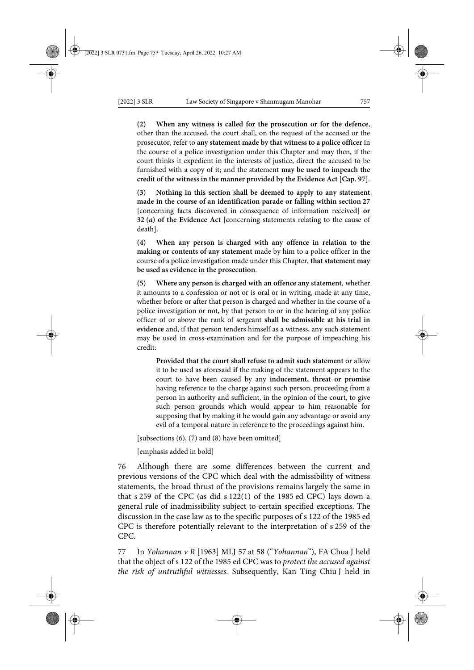**(2) When any witness is called for the prosecution or for the defence**, other than the accused, the court shall, on the request of the accused or the prosecutor, refer to **any statement made by that witness to a police officer** in the course of a police investigation under this Chapter and may then, if the court thinks it expedient in the interests of justice, direct the accused to be furnished with a copy of it; and the statement **may be used to impeach the credit of the witness in the manner provided by the Evidence Act [Cap. 97]**.

**(3) Nothing in this section shall be deemed to apply to any statement made in the course of an identification parade or falling within section 27** [concerning facts discovered in consequence of information received] **or 32 (***a***) of the Evidence Act** [concerning statements relating to the cause of death].

**(4) When any person is charged with any offence in relation to the making or contents of any statement** made by him to a police officer in the course of a police investigation made under this Chapter, **that statement may be used as evidence in the prosecution**.

**(5) Where any person is charged with an offence any statement**, whether it amounts to a confession or not or is oral or in writing, made at any time, whether before or after that person is charged and whether in the course of a police investigation or not, by that person to or in the hearing of any police officer of or above the rank of sergeant **shall be admissible at his trial in evidence** and, if that person tenders himself as a witness, any such statement may be used in cross-examination and for the purpose of impeaching his credit:

**Provided that the court shall refuse to admit such statement** or allow it to be used as aforesaid **if** the making of the statement appears to the court to have been caused by any **inducement, threat or promise** having reference to the charge against such person, proceeding from a person in authority and sufficient, in the opinion of the court, to give such person grounds which would appear to him reasonable for supposing that by making it he would gain any advantage or avoid any evil of a temporal nature in reference to the proceedings against him.

[subsections (6), (7) and (8) have been omitted]

[emphasis added in bold]

76 Although there are some differences between the current and previous versions of the CPC which deal with the admissibility of witness statements, the broad thrust of the provisions remains largely the same in that s 259 of the CPC (as did s 122(1) of the 1985 ed CPC) lays down a general rule of inadmissibility subject to certain specified exceptions. The discussion in the case law as to the specific purposes of s 122 of the 1985 ed CPC is therefore potentially relevant to the interpretation of s 259 of the CPC.

77 In *Yohannan v R* [1963] MLJ 57 at 58 ("*Yohannan*"), FA Chua J held that the object of s 122 of the 1985 ed CPC was to *protect the accused against the risk of untruthful witnesses.* Subsequently, Kan Ting Chiu J held in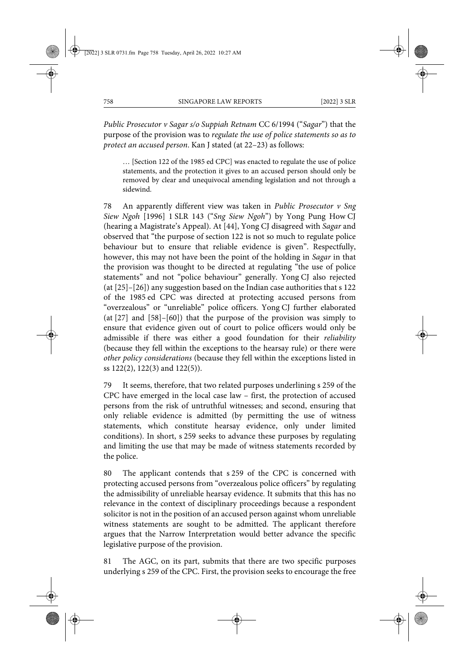*Public Prosecutor v Sagar s/o Suppiah Retnam* CC 6/1994 ("*Sagar*") that the purpose of the provision was to *regulate the use of police statements so as to protect an accused person*. Kan J stated (at 22–23) as follows:

… [Section 122 of the 1985 ed CPC] was enacted to regulate the use of police statements, and the protection it gives to an accused person should only be removed by clear and unequivocal amending legislation and not through a sidewind.

78 An apparently different view was taken in *Public Prosecutor v Sng Siew Ngoh* [1996] 1 SLR 143 ("*Sng Siew Ngoh*") by Yong Pung How CJ (hearing a Magistrate's Appeal). At [44], Yong CJ disagreed with *Sagar* and observed that "the purpose of section 122 is not so much to regulate police behaviour but to ensure that reliable evidence is given". Respectfully, however, this may not have been the point of the holding in *Sagar* in that the provision was thought to be directed at regulating "the use of police statements" and not "police behaviour" generally. Yong CJ also rejected (at [25]–[26]) any suggestion based on the Indian case authorities that s 122 of the 1985 ed CPC was directed at protecting accused persons from "overzealous" or "unreliable" police officers. Yong CJ further elaborated (at [27] and [58]–[60]) that the purpose of the provision was simply to ensure that evidence given out of court to police officers would only be admissible if there was either a good foundation for their *reliability* (because they fell within the exceptions to the hearsay rule) or there were *other policy considerations* (because they fell within the exceptions listed in ss 122(2), 122(3) and 122(5)).

79 It seems, therefore, that two related purposes underlining s 259 of the CPC have emerged in the local case law – first, the protection of accused persons from the risk of untruthful witnesses; and second, ensuring that only reliable evidence is admitted (by permitting the use of witness statements, which constitute hearsay evidence, only under limited conditions). In short, s 259 seeks to advance these purposes by regulating and limiting the use that may be made of witness statements recorded by the police.

80 The applicant contends that s 259 of the CPC is concerned with protecting accused persons from "overzealous police officers" by regulating the admissibility of unreliable hearsay evidence. It submits that this has no relevance in the context of disciplinary proceedings because a respondent solicitor is not in the position of an accused person against whom unreliable witness statements are sought to be admitted. The applicant therefore argues that the Narrow Interpretation would better advance the specific legislative purpose of the provision.

81 The AGC, on its part, submits that there are two specific purposes underlying s 259 of the CPC. First, the provision seeks to encourage the free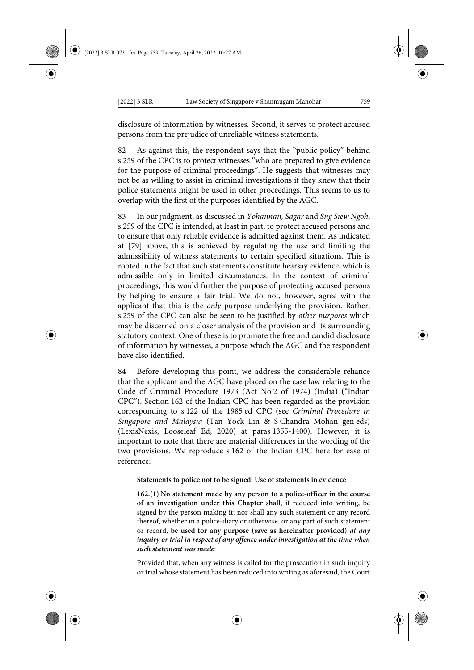disclosure of information by witnesses. Second, it serves to protect accused persons from the prejudice of unreliable witness statements.

82 As against this, the respondent says that the "public policy" behind s 259 of the CPC is to protect witnesses "who are prepared to give evidence for the purpose of criminal proceedings". He suggests that witnesses may not be as willing to assist in criminal investigations if they knew that their police statements might be used in other proceedings. This seems to us to overlap with the first of the purposes identified by the AGC.

83 In our judgment, as discussed in *Yohannan, Sagar* and *Sng Siew Ngoh*, s 259 of the CPC is intended, at least in part, to protect accused persons and to ensure that only reliable evidence is admitted against them. As indicated at [79] above, this is achieved by regulating the use and limiting the admissibility of witness statements to certain specified situations. This is rooted in the fact that such statements constitute hearsay evidence, which is admissible only in limited circumstances. In the context of criminal proceedings, this would further the purpose of protecting accused persons by helping to ensure a fair trial. We do not, however, agree with the applicant that this is the *only* purpose underlying the provision. Rather, s 259 of the CPC can also be seen to be justified by *other purposes* which may be discerned on a closer analysis of the provision and its surrounding statutory context. One of these is to promote the free and candid disclosure of information by witnesses, a purpose which the AGC and the respondent have also identified.

84 Before developing this point, we address the considerable reliance that the applicant and the AGC have placed on the case law relating to the Code of Criminal Procedure 1973 (Act No 2 of 1974) (India) ("Indian CPC"). Section 162 of the Indian CPC has been regarded as the provision corresponding to s 122 of the 1985 ed CPC (see *Criminal Procedure in Singapore and Malaysia* (Tan Yock Lin & S Chandra Mohan gen eds) (LexisNexis, Looseleaf Ed, 2020) at paras 1355-1400). However, it is important to note that there are material differences in the wording of the two provisions. We reproduce s 162 of the Indian CPC here for ease of reference:

**Statements to police not to be signed: Use of statements in evidence**

**162.(1) No statement made by any person to a police-officer in the course of an investigation under this Chapter shall**, if reduced into writing, be signed by the person making it; nor shall any such statement or any record thereof, whether in a police-diary or otherwise, or any part of such statement or record, **be used for any purpose (save as hereinafter provided)** *at any inquiry or trial in respect of any offence under investigation at the time when such statement was made*:

Provided that, when any witness is called for the prosecution in such inquiry or trial whose statement has been reduced into writing as aforesaid, the Court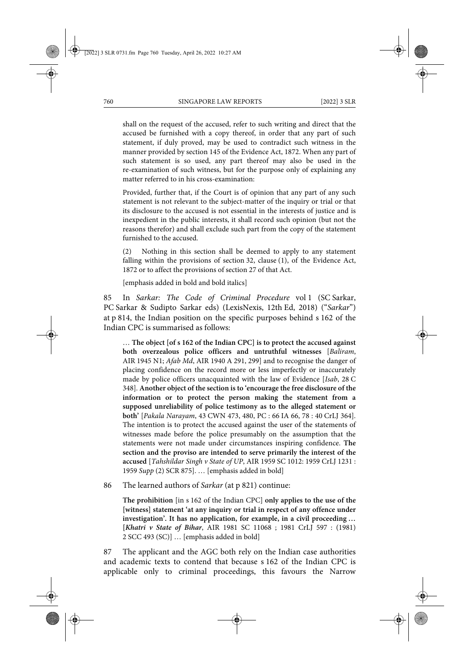shall on the request of the accused, refer to such writing and direct that the accused be furnished with a copy thereof, in order that any part of such statement, if duly proved, may be used to contradict such witness in the manner provided by section 145 of the Evidence Act, 1872. When any part of such statement is so used, any part thereof may also be used in the re-examination of such witness, but for the purpose only of explaining any matter referred to in his cross-examination:

Provided, further that, if the Court is of opinion that any part of any such statement is not relevant to the subject-matter of the inquiry or trial or that its disclosure to the accused is not essential in the interests of justice and is inexpedient in the public interests, it shall record such opinion (but not the reasons therefor) and shall exclude such part from the copy of the statement furnished to the accused.

(2) Nothing in this section shall be deemed to apply to any statement falling within the provisions of section 32, clause (1), of the Evidence Act, 1872 or to affect the provisions of section 27 of that Act.

[emphasis added in bold and bold italics]

85 In *Sarkar: The Code of Criminal Procedure* vol 1 (SC Sarkar, PC Sarkar & Sudipto Sarkar eds) (LexisNexis, 12th Ed, 2018) ("*Sarkar*") at p 814, the Indian position on the specific purposes behind s 162 of the Indian CPC is summarised as follows:

… **The object [of s 162 of the Indian CPC] is to protect the accused against both overzealous police officers and untruthful witnesses** [*Baliram*, AIR 1945 N1; *Afab Md*, AIR 1940 A 291, 299] and to recognise the danger of placing confidence on the record more or less imperfectly or inaccurately made by police officers unacquainted with the law of Evidence [*Isab*, 28 C 348]. **Another object of the section is to 'encourage the free disclosure of the information or to protect the person making the statement from a supposed unreliability of police testimony as to the alleged statement or both'** [*Pakala Narayam*, 43 CWN 473, 480, PC : 66 IA 66, 78 : 40 CrLJ 364]. The intention is to protect the accused against the user of the statements of witnesses made before the police presumably on the assumption that the statements were not made under circumstances inspiring confidence. **The section and the proviso are intended to serve primarily the interest of the accused** [*Tahshildar Singh v State of UP*, AIR 1959 SC 1012: 1959 CrLJ 1231 : 1959 *Supp* (2) SCR 875]. … [emphasis added in bold]

86 The learned authors of *Sarkar* (at p 821) continue:

**The prohibition** [in s 162 of the Indian CPC] **only applies to the use of the [witness] statement 'at any inquiry or trial in respect of any offence under investigation'. It has no application, for example, in a civil proceeding … [***Khatri v State of Bihar*, AIR 1981 SC 11068 ; 1981 CrLJ 597 : (1981) 2 SCC 493 (SC)] … [emphasis added in bold]

87 The applicant and the AGC both rely on the Indian case authorities and academic texts to contend that because s 162 of the Indian CPC is applicable only to criminal proceedings, this favours the Narrow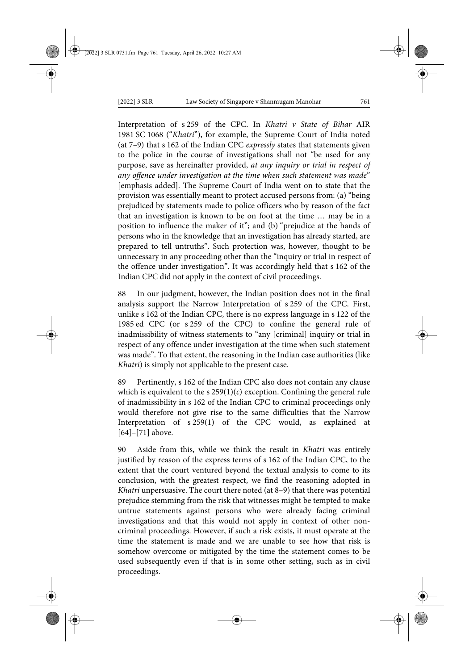Interpretation of s 259 of the CPC. In *Khatri v State of Bihar* AIR 1981 SC 1068 ("*Khatri*"), for example, the Supreme Court of India noted (at 7–9) that s 162 of the Indian CPC *expressly* states that statements given to the police in the course of investigations shall not "be used for any purpose, save as hereinafter provided, *at any inquiry or trial in respect of any offence under investigation at the time when such statement was made*" [emphasis added]. The Supreme Court of India went on to state that the provision was essentially meant to protect accused persons from: (a) "being prejudiced by statements made to police officers who by reason of the fact that an investigation is known to be on foot at the time … may be in a position to influence the maker of it"; and (b) "prejudice at the hands of persons who in the knowledge that an investigation has already started, are prepared to tell untruths". Such protection was, however, thought to be unnecessary in any proceeding other than the "inquiry or trial in respect of the offence under investigation". It was accordingly held that s 162 of the Indian CPC did not apply in the context of civil proceedings.

88 In our judgment, however, the Indian position does not in the final analysis support the Narrow Interpretation of s 259 of the CPC. First, unlike s 162 of the Indian CPC, there is no express language in s 122 of the 1985 ed CPC (or s 259 of the CPC) to confine the general rule of inadmissibility of witness statements to "any [criminal] inquiry or trial in respect of any offence under investigation at the time when such statement was made". To that extent, the reasoning in the Indian case authorities (like *Khatri*) is simply not applicable to the present case.

89 Pertinently, s 162 of the Indian CPC also does not contain any clause which is equivalent to the  $s 259(1)(c)$  exception. Confining the general rule of inadmissibility in s 162 of the Indian CPC to criminal proceedings only would therefore not give rise to the same difficulties that the Narrow Interpretation of s 259(1) of the CPC would, as explained at [64]–[71] above.

90 Aside from this, while we think the result in *Khatri* was entirely justified by reason of the express terms of s 162 of the Indian CPC, to the extent that the court ventured beyond the textual analysis to come to its conclusion, with the greatest respect, we find the reasoning adopted in *Khatri* unpersuasive. The court there noted (at 8–9) that there was potential prejudice stemming from the risk that witnesses might be tempted to make untrue statements against persons who were already facing criminal investigations and that this would not apply in context of other noncriminal proceedings. However, if such a risk exists, it must operate at the time the statement is made and we are unable to see how that risk is somehow overcome or mitigated by the time the statement comes to be used subsequently even if that is in some other setting, such as in civil proceedings.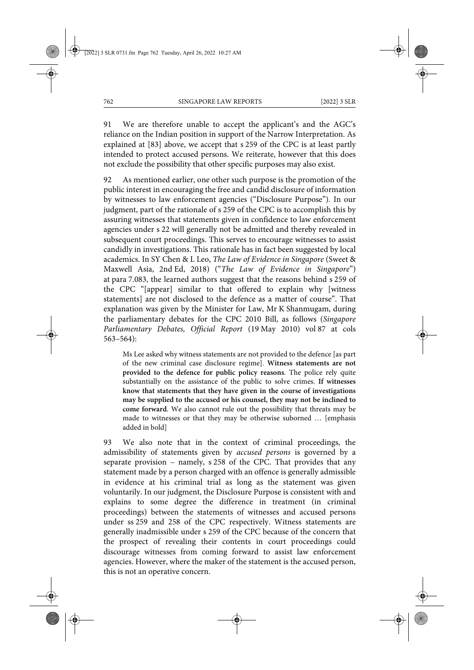91 We are therefore unable to accept the applicant's and the AGC's reliance on the Indian position in support of the Narrow Interpretation. As explained at [83] above, we accept that s 259 of the CPC is at least partly intended to protect accused persons. We reiterate, however that this does not exclude the possibility that other specific purposes may also exist.

92 As mentioned earlier, one other such purpose is the promotion of the public interest in encouraging the free and candid disclosure of information by witnesses to law enforcement agencies ("Disclosure Purpose"). In our judgment, part of the rationale of s 259 of the CPC is to accomplish this by assuring witnesses that statements given in confidence to law enforcement agencies under s 22 will generally not be admitted and thereby revealed in subsequent court proceedings. This serves to encourage witnesses to assist candidly in investigations. This rationale has in fact been suggested by local academics. In SY Chen & L Leo, *The Law of Evidence in Singapore* (Sweet & Maxwell Asia, 2nd Ed, 2018) ("*The Law of Evidence in Singapore*") at para 7.083, the learned authors suggest that the reasons behind s 259 of the CPC "[appear] similar to that offered to explain why [witness statements] are not disclosed to the defence as a matter of course". That explanation was given by the Minister for Law, Mr K Shanmugam, during the parliamentary debates for the CPC 2010 Bill, as follows (*Singapore Parliamentary Debates, Official Report* (19 May 2010) vol 87 at cols 563–564):

Ms Lee asked why witness statements are not provided to the defence [as part of the new criminal case disclosure regime]. **Witness statements are not provided to the defence for public policy reasons**. The police rely quite substantially on the assistance of the public to solve crimes. **If witnesses know that statements that they have given in the course of investigations may be supplied to the accused or his counsel, they may not be inclined to come forward**. We also cannot rule out the possibility that threats may be made to witnesses or that they may be otherwise suborned … [emphasis added in bold]

93 We also note that in the context of criminal proceedings, the admissibility of statements given by *accused persons* is governed by a separate provision – namely, s 258 of the CPC. That provides that any statement made by a person charged with an offence is generally admissible in evidence at his criminal trial as long as the statement was given voluntarily. In our judgment, the Disclosure Purpose is consistent with and explains to some degree the difference in treatment (in criminal proceedings) between the statements of witnesses and accused persons under ss 259 and 258 of the CPC respectively. Witness statements are generally inadmissible under s 259 of the CPC because of the concern that the prospect of revealing their contents in court proceedings could discourage witnesses from coming forward to assist law enforcement agencies. However, where the maker of the statement is the accused person, this is not an operative concern.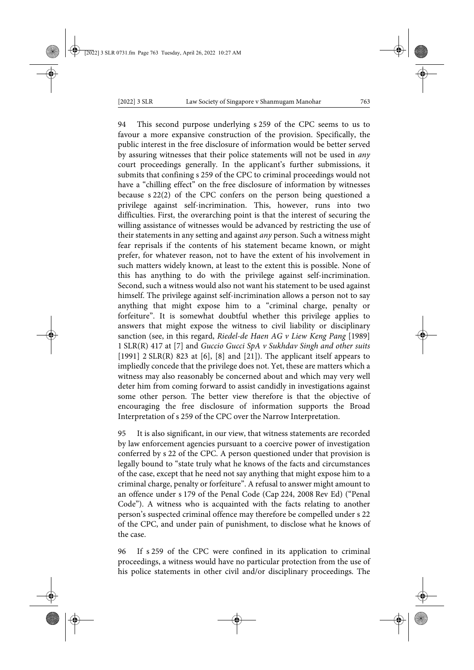94 This second purpose underlying s 259 of the CPC seems to us to favour a more expansive construction of the provision. Specifically, the public interest in the free disclosure of information would be better served by assuring witnesses that their police statements will not be used in *any* court proceedings generally. In the applicant's further submissions, it submits that confining s 259 of the CPC to criminal proceedings would not have a "chilling effect" on the free disclosure of information by witnesses because s 22(2) of the CPC confers on the person being questioned a privilege against self-incrimination. This, however, runs into two difficulties. First, the overarching point is that the interest of securing the willing assistance of witnesses would be advanced by restricting the use of their statements in any setting and against *any* person. Such a witness might fear reprisals if the contents of his statement became known, or might prefer, for whatever reason, not to have the extent of his involvement in such matters widely known, at least to the extent this is possible. None of this has anything to do with the privilege against self-incrimination. Second, such a witness would also not want his statement to be used against himself. The privilege against self-incrimination allows a person not to say anything that might expose him to a "criminal charge, penalty or forfeiture". It is somewhat doubtful whether this privilege applies to answers that might expose the witness to civil liability or disciplinary sanction (see, in this regard, *Riedel-de Haen AG v Liew Keng Pang* [1989] 1 SLR(R) 417 at [7] and *Guccio Gucci SpA v Sukhdav Singh and other suits* [1991]  $2$  SLR(R) 823 at [6], [8] and [21]). The applicant itself appears to impliedly concede that the privilege does not. Yet, these are matters which a witness may also reasonably be concerned about and which may very well deter him from coming forward to assist candidly in investigations against some other person. The better view therefore is that the objective of encouraging the free disclosure of information supports the Broad Interpretation of s 259 of the CPC over the Narrow Interpretation.

95 It is also significant, in our view, that witness statements are recorded by law enforcement agencies pursuant to a coercive power of investigation conferred by s 22 of the CPC. A person questioned under that provision is legally bound to "state truly what he knows of the facts and circumstances of the case, except that he need not say anything that might expose him to a criminal charge, penalty or forfeiture". A refusal to answer might amount to an offence under s 179 of the Penal Code (Cap 224, 2008 Rev Ed) ("Penal Code"). A witness who is acquainted with the facts relating to another person's suspected criminal offence may therefore be compelled under s 22 of the CPC, and under pain of punishment, to disclose what he knows of the case.

96 If s 259 of the CPC were confined in its application to criminal proceedings, a witness would have no particular protection from the use of his police statements in other civil and/or disciplinary proceedings. The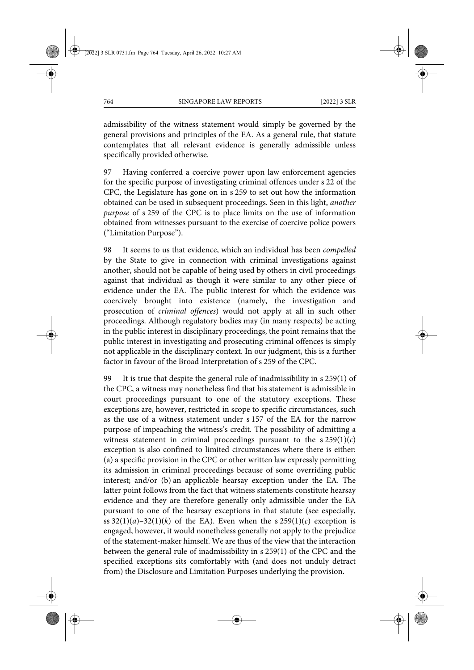admissibility of the witness statement would simply be governed by the general provisions and principles of the EA. As a general rule, that statute contemplates that all relevant evidence is generally admissible unless specifically provided otherwise.

97 Having conferred a coercive power upon law enforcement agencies for the specific purpose of investigating criminal offences under s 22 of the CPC, the Legislature has gone on in s 259 to set out how the information obtained can be used in subsequent proceedings. Seen in this light, *another purpose* of s 259 of the CPC is to place limits on the use of information obtained from witnesses pursuant to the exercise of coercive police powers ("Limitation Purpose").

98 It seems to us that evidence, which an individual has been *compelled* by the State to give in connection with criminal investigations against another, should not be capable of being used by others in civil proceedings against that individual as though it were similar to any other piece of evidence under the EA. The public interest for which the evidence was coercively brought into existence (namely, the investigation and prosecution of *criminal offences*) would not apply at all in such other proceedings. Although regulatory bodies may (in many respects) be acting in the public interest in disciplinary proceedings, the point remains that the public interest in investigating and prosecuting criminal offences is simply not applicable in the disciplinary context. In our judgment, this is a further factor in favour of the Broad Interpretation of s 259 of the CPC.

99 It is true that despite the general rule of inadmissibility in s 259(1) of the CPC, a witness may nonetheless find that his statement is admissible in court proceedings pursuant to one of the statutory exceptions. These exceptions are, however, restricted in scope to specific circumstances, such as the use of a witness statement under s 157 of the EA for the narrow purpose of impeaching the witness's credit. The possibility of admitting a witness statement in criminal proceedings pursuant to the  $s \, 259(1)(c)$ exception is also confined to limited circumstances where there is either: (a) a specific provision in the CPC or other written law expressly permitting its admission in criminal proceedings because of some overriding public interest; and/or (b) an applicable hearsay exception under the EA. The latter point follows from the fact that witness statements constitute hearsay evidence and they are therefore generally only admissible under the EA pursuant to one of the hearsay exceptions in that statute (see especially, ss  $32(1)(a)-32(1)(k)$  of the EA). Even when the s  $259(1)(c)$  exception is engaged, however, it would nonetheless generally not apply to the prejudice of the statement-maker himself. We are thus of the view that the interaction between the general rule of inadmissibility in s 259(1) of the CPC and the specified exceptions sits comfortably with (and does not unduly detract from) the Disclosure and Limitation Purposes underlying the provision.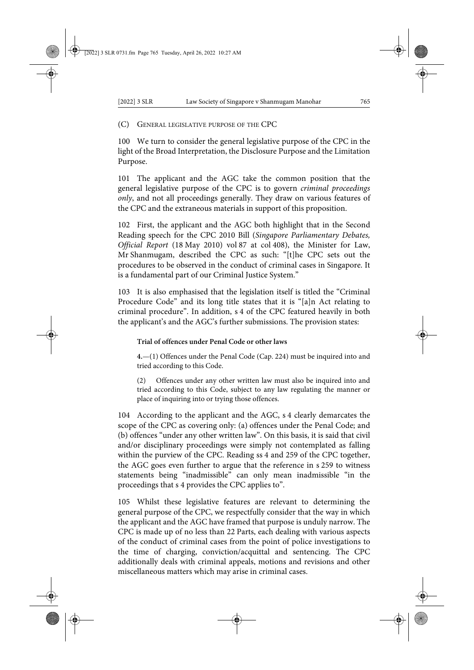(C) GENERAL LEGISLATIVE PURPOSE OF THE CPC

100 We turn to consider the general legislative purpose of the CPC in the light of the Broad Interpretation, the Disclosure Purpose and the Limitation Purpose.

101 The applicant and the AGC take the common position that the general legislative purpose of the CPC is to govern *criminal proceedings only*, and not all proceedings generally. They draw on various features of the CPC and the extraneous materials in support of this proposition.

102 First, the applicant and the AGC both highlight that in the Second Reading speech for the CPC 2010 Bill (*Singapore Parliamentary Debates, Official Report* (18 May 2010) vol 87 at col 408), the Minister for Law, Mr Shanmugam, described the CPC as such: "[t]he CPC sets out the procedures to be observed in the conduct of criminal cases in Singapore. It is a fundamental part of our Criminal Justice System."

103 It is also emphasised that the legislation itself is titled the "Criminal Procedure Code" and its long title states that it is "[a]n Act relating to criminal procedure". In addition, s 4 of the CPC featured heavily in both the applicant's and the AGC's further submissions. The provision states:

# **Trial of offences under Penal Code or other laws**

**4.**—(1) Offences under the Penal Code (Cap. 224) must be inquired into and tried according to this Code.

(2) Offences under any other written law must also be inquired into and tried according to this Code, subject to any law regulating the manner or place of inquiring into or trying those offences.

104 According to the applicant and the AGC, s 4 clearly demarcates the scope of the CPC as covering only: (a) offences under the Penal Code; and (b) offences "under any other written law". On this basis, it is said that civil and/or disciplinary proceedings were simply not contemplated as falling within the purview of the CPC. Reading ss 4 and 259 of the CPC together, the AGC goes even further to argue that the reference in s 259 to witness statements being "inadmissible" can only mean inadmissible "in the proceedings that s 4 provides the CPC applies to".

105 Whilst these legislative features are relevant to determining the general purpose of the CPC, we respectfully consider that the way in which the applicant and the AGC have framed that purpose is unduly narrow. The CPC is made up of no less than 22 Parts, each dealing with various aspects of the conduct of criminal cases from the point of police investigations to the time of charging, conviction/acquittal and sentencing. The CPC additionally deals with criminal appeals, motions and revisions and other miscellaneous matters which may arise in criminal cases.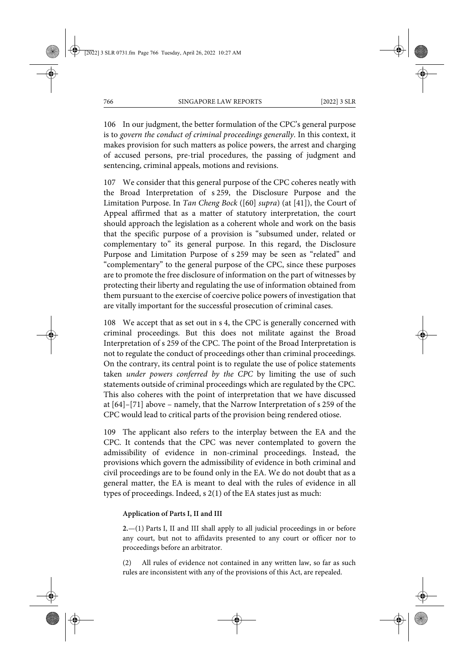106 In our judgment, the better formulation of the CPC's general purpose is to *govern the conduct of criminal proceedings generally*. In this context, it makes provision for such matters as police powers, the arrest and charging of accused persons, pre-trial procedures, the passing of judgment and sentencing, criminal appeals, motions and revisions.

107 We consider that this general purpose of the CPC coheres neatly with the Broad Interpretation of s 259, the Disclosure Purpose and the Limitation Purpose. In *Tan Cheng Bock* ([60] *supra*) (at [41]), the Court of Appeal affirmed that as a matter of statutory interpretation, the court should approach the legislation as a coherent whole and work on the basis that the specific purpose of a provision is "subsumed under, related or complementary to" its general purpose. In this regard, the Disclosure Purpose and Limitation Purpose of s 259 may be seen as "related" and "complementary" to the general purpose of the CPC, since these purposes are to promote the free disclosure of information on the part of witnesses by protecting their liberty and regulating the use of information obtained from them pursuant to the exercise of coercive police powers of investigation that are vitally important for the successful prosecution of criminal cases.

108 We accept that as set out in s 4, the CPC is generally concerned with criminal proceedings. But this does not militate against the Broad Interpretation of s 259 of the CPC. The point of the Broad Interpretation is not to regulate the conduct of proceedings other than criminal proceedings. On the contrary, its central point is to regulate the use of police statements taken *under powers conferred by the CPC* by limiting the use of such statements outside of criminal proceedings which are regulated by the CPC. This also coheres with the point of interpretation that we have discussed at [64]–[71] above – namely, that the Narrow Interpretation of s 259 of the CPC would lead to critical parts of the provision being rendered otiose.

109 The applicant also refers to the interplay between the EA and the CPC. It contends that the CPC was never contemplated to govern the admissibility of evidence in non-criminal proceedings. Instead, the provisions which govern the admissibility of evidence in both criminal and civil proceedings are to be found only in the EA. We do not doubt that as a general matter, the EA is meant to deal with the rules of evidence in all types of proceedings. Indeed, s 2(1) of the EA states just as much:

### **Application of Parts I, II and III**

**2.**—(1) Parts I, II and III shall apply to all judicial proceedings in or before any court, but not to affidavits presented to any court or officer nor to proceedings before an arbitrator.

(2) All rules of evidence not contained in any written law, so far as such rules are inconsistent with any of the provisions of this Act, are repealed.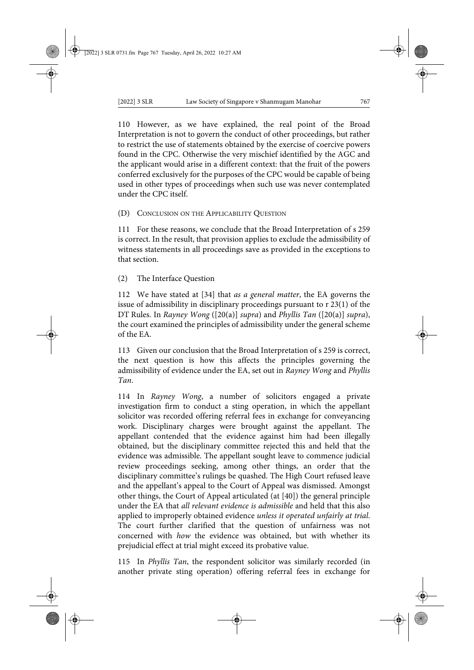110 However, as we have explained, the real point of the Broad Interpretation is not to govern the conduct of other proceedings, but rather to restrict the use of statements obtained by the exercise of coercive powers found in the CPC. Otherwise the very mischief identified by the AGC and the applicant would arise in a different context: that the fruit of the powers conferred exclusively for the purposes of the CPC would be capable of being used in other types of proceedings when such use was never contemplated under the CPC itself.

(D) CONCLUSION ON THE APPLICABILITY QUESTION

111 For these reasons, we conclude that the Broad Interpretation of s 259 is correct. In the result, that provision applies to exclude the admissibility of witness statements in all proceedings save as provided in the exceptions to that section.

(2) The Interface Question

112 We have stated at [34] that *as a general matter*, the EA governs the issue of admissibility in disciplinary proceedings pursuant to r 23(1) of the DT Rules. In *Rayney Wong* ([20(a)] *supra*) and *Phyllis Tan* ([20(a)] *supra*), the court examined the principles of admissibility under the general scheme of the EA.

113 Given our conclusion that the Broad Interpretation of s 259 is correct, the next question is how this affects the principles governing the admissibility of evidence under the EA, set out in *Rayney Wong* and *Phyllis Tan*.

114 In *Rayney Wong*, a number of solicitors engaged a private investigation firm to conduct a sting operation, in which the appellant solicitor was recorded offering referral fees in exchange for conveyancing work. Disciplinary charges were brought against the appellant. The appellant contended that the evidence against him had been illegally obtained, but the disciplinary committee rejected this and held that the evidence was admissible. The appellant sought leave to commence judicial review proceedings seeking, among other things, an order that the disciplinary committee's rulings be quashed. The High Court refused leave and the appellant's appeal to the Court of Appeal was dismissed. Amongst other things, the Court of Appeal articulated (at [40]) the general principle under the EA that *all relevant evidence is admissible* and held that this also applied to improperly obtained evidence *unless it operated unfairly at trial*. The court further clarified that the question of unfairness was not concerned with *how* the evidence was obtained, but with whether its prejudicial effect at trial might exceed its probative value.

115 In *Phyllis Tan*, the respondent solicitor was similarly recorded (in another private sting operation) offering referral fees in exchange for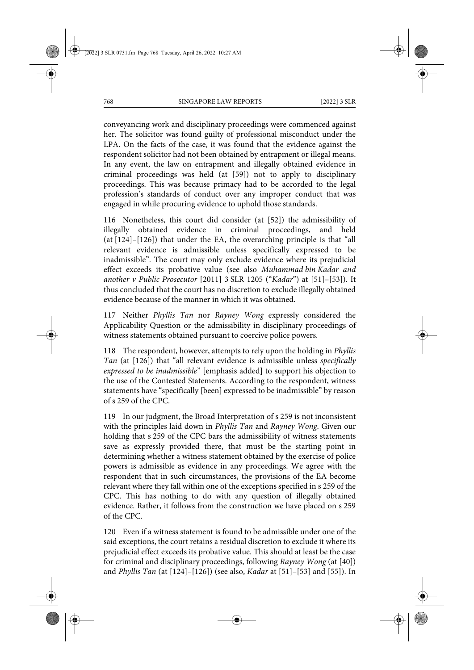conveyancing work and disciplinary proceedings were commenced against her. The solicitor was found guilty of professional misconduct under the LPA. On the facts of the case, it was found that the evidence against the respondent solicitor had not been obtained by entrapment or illegal means. In any event, the law on entrapment and illegally obtained evidence in criminal proceedings was held (at [59]) not to apply to disciplinary proceedings. This was because primacy had to be accorded to the legal profession's standards of conduct over any improper conduct that was engaged in while procuring evidence to uphold those standards.

116 Nonetheless, this court did consider (at [52]) the admissibility of illegally obtained evidence in criminal proceedings, and held (at [124]–[126]) that under the EA, the overarching principle is that "all relevant evidence is admissible unless specifically expressed to be inadmissible". The court may only exclude evidence where its prejudicial effect exceeds its probative value (see also *Muhammad bin Kadar and another v Public Prosecutor* [2011] 3 SLR 1205 ("*Kadar*") at [51]–[53]). It thus concluded that the court has no discretion to exclude illegally obtained evidence because of the manner in which it was obtained.

117 Neither *Phyllis Tan* nor *Rayney Wong* expressly considered the Applicability Question or the admissibility in disciplinary proceedings of witness statements obtained pursuant to coercive police powers.

118 The respondent, however, attempts to rely upon the holding in *Phyllis Tan* (at [126]) that "all relevant evidence is admissible unless *specifically expressed to be inadmissible*" [emphasis added] to support his objection to the use of the Contested Statements. According to the respondent, witness statements have "specifically [been] expressed to be inadmissible" by reason of s 259 of the CPC.

119 In our judgment, the Broad Interpretation of s 259 is not inconsistent with the principles laid down in *Phyllis Tan* and *Rayney Wong*. Given our holding that s 259 of the CPC bars the admissibility of witness statements save as expressly provided there, that must be the starting point in determining whether a witness statement obtained by the exercise of police powers is admissible as evidence in any proceedings. We agree with the respondent that in such circumstances, the provisions of the EA become relevant where they fall within one of the exceptions specified in s 259 of the CPC. This has nothing to do with any question of illegally obtained evidence. Rather, it follows from the construction we have placed on s 259 of the CPC.

120 Even if a witness statement is found to be admissible under one of the said exceptions, the court retains a residual discretion to exclude it where its prejudicial effect exceeds its probative value. This should at least be the case for criminal and disciplinary proceedings, following *Rayney Wong* (at [40]) and *Phyllis Tan* (at [124]–[126]) (see also, *Kadar* at [51]–[53] and [55]). In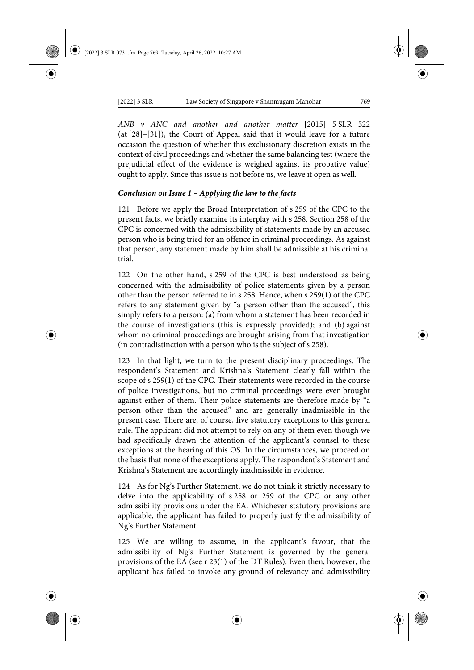*ANB v ANC and another and another matter* [2015] 5 SLR 522 (at [28]–[31]), the Court of Appeal said that it would leave for a future occasion the question of whether this exclusionary discretion exists in the context of civil proceedings and whether the same balancing test (where the prejudicial effect of the evidence is weighed against its probative value) ought to apply. Since this issue is not before us, we leave it open as well.

# *Conclusion on Issue 1 – Applying the law to the facts*

121 Before we apply the Broad Interpretation of s 259 of the CPC to the present facts, we briefly examine its interplay with s 258. Section 258 of the CPC is concerned with the admissibility of statements made by an accused person who is being tried for an offence in criminal proceedings. As against that person, any statement made by him shall be admissible at his criminal trial.

122 On the other hand, s 259 of the CPC is best understood as being concerned with the admissibility of police statements given by a person other than the person referred to in s 258. Hence, when s 259(1) of the CPC refers to any statement given by "a person other than the accused", this simply refers to a person: (a) from whom a statement has been recorded in the course of investigations (this is expressly provided); and (b) against whom no criminal proceedings are brought arising from that investigation (in contradistinction with a person who is the subject of s 258).

123 In that light, we turn to the present disciplinary proceedings. The respondent's Statement and Krishna's Statement clearly fall within the scope of s 259(1) of the CPC. Their statements were recorded in the course of police investigations, but no criminal proceedings were ever brought against either of them. Their police statements are therefore made by "a person other than the accused" and are generally inadmissible in the present case. There are, of course, five statutory exceptions to this general rule. The applicant did not attempt to rely on any of them even though we had specifically drawn the attention of the applicant's counsel to these exceptions at the hearing of this OS. In the circumstances, we proceed on the basis that none of the exceptions apply. The respondent's Statement and Krishna's Statement are accordingly inadmissible in evidence.

124 As for Ng's Further Statement, we do not think it strictly necessary to delve into the applicability of s 258 or 259 of the CPC or any other admissibility provisions under the EA. Whichever statutory provisions are applicable, the applicant has failed to properly justify the admissibility of Ng's Further Statement.

125 We are willing to assume, in the applicant's favour, that the admissibility of Ng's Further Statement is governed by the general provisions of the EA (see r 23(1) of the DT Rules). Even then, however, the applicant has failed to invoke any ground of relevancy and admissibility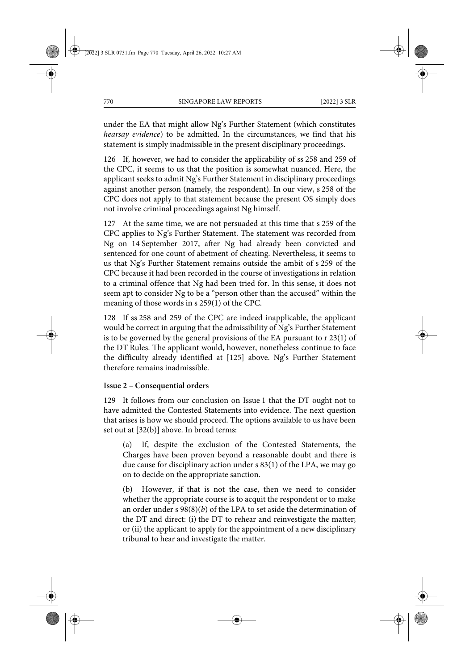under the EA that might allow Ng's Further Statement (which constitutes *hearsay evidence*) to be admitted. In the circumstances, we find that his statement is simply inadmissible in the present disciplinary proceedings.

126 If, however, we had to consider the applicability of ss 258 and 259 of the CPC, it seems to us that the position is somewhat nuanced. Here, the applicant seeks to admit Ng's Further Statement in disciplinary proceedings against another person (namely, the respondent). In our view, s 258 of the CPC does not apply to that statement because the present OS simply does not involve criminal proceedings against Ng himself.

127 At the same time, we are not persuaded at this time that s 259 of the CPC applies to Ng's Further Statement. The statement was recorded from Ng on 14 September 2017, after Ng had already been convicted and sentenced for one count of abetment of cheating. Nevertheless, it seems to us that Ng's Further Statement remains outside the ambit of s 259 of the CPC because it had been recorded in the course of investigations in relation to a criminal offence that Ng had been tried for. In this sense, it does not seem apt to consider Ng to be a "person other than the accused" within the meaning of those words in s 259(1) of the CPC.

128 If ss 258 and 259 of the CPC are indeed inapplicable, the applicant would be correct in arguing that the admissibility of Ng's Further Statement is to be governed by the general provisions of the EA pursuant to r 23(1) of the DT Rules. The applicant would, however, nonetheless continue to face the difficulty already identified at [125] above. Ng's Further Statement therefore remains inadmissible.

# **Issue 2 – Consequential orders**

129 It follows from our conclusion on Issue 1 that the DT ought not to have admitted the Contested Statements into evidence. The next question that arises is how we should proceed. The options available to us have been set out at [32(b)] above. In broad terms:

(a) If, despite the exclusion of the Contested Statements, the Charges have been proven beyond a reasonable doubt and there is due cause for disciplinary action under s 83(1) of the LPA, we may go on to decide on the appropriate sanction.

(b) However, if that is not the case, then we need to consider whether the appropriate course is to acquit the respondent or to make an order under s 98(8)(*b*) of the LPA to set aside the determination of the DT and direct: (i) the DT to rehear and reinvestigate the matter; or (ii) the applicant to apply for the appointment of a new disciplinary tribunal to hear and investigate the matter.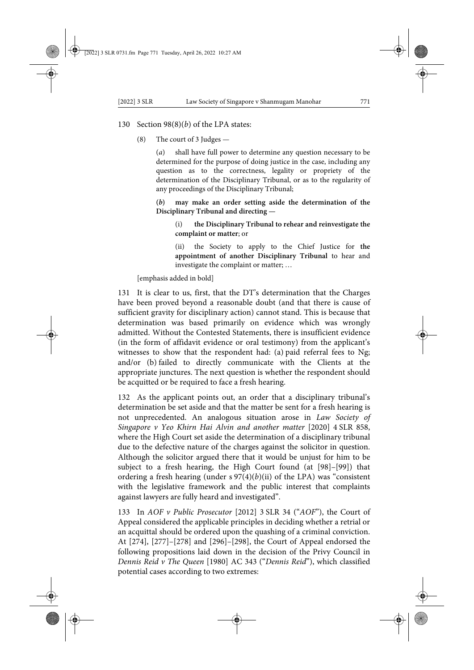# 130 Section 98(8)(*b*) of the LPA states:

(8) The court of 3 Judges —

(*a*) shall have full power to determine any question necessary to be determined for the purpose of doing justice in the case, including any question as to the correctness, legality or propriety of the determination of the Disciplinary Tribunal, or as to the regularity of any proceedings of the Disciplinary Tribunal;

**(***b***) may make an order setting aside the determination of the Disciplinary Tribunal and directing —**

(i) **the Disciplinary Tribunal to rehear and reinvestigate the complaint or matter**; or

(ii) the Society to apply to the Chief Justice for **the appointment of another Disciplinary Tribunal** to hear and investigate the complaint or matter; …

[emphasis added in bold]

131 It is clear to us, first, that the DT's determination that the Charges have been proved beyond a reasonable doubt (and that there is cause of sufficient gravity for disciplinary action) cannot stand. This is because that determination was based primarily on evidence which was wrongly admitted. Without the Contested Statements, there is insufficient evidence (in the form of affidavit evidence or oral testimony) from the applicant's witnesses to show that the respondent had: (a) paid referral fees to Ng; and/or (b) failed to directly communicate with the Clients at the appropriate junctures. The next question is whether the respondent should be acquitted or be required to face a fresh hearing.

132 As the applicant points out, an order that a disciplinary tribunal's determination be set aside and that the matter be sent for a fresh hearing is not unprecedented. An analogous situation arose in *Law Society of Singapore v Yeo Khirn Hai Alvin and another matter* [2020] 4 SLR 858, where the High Court set aside the determination of a disciplinary tribunal due to the defective nature of the charges against the solicitor in question. Although the solicitor argued there that it would be unjust for him to be subject to a fresh hearing, the High Court found (at [98]–[99]) that ordering a fresh hearing (under  $s \frac{97(4)}{b}$ ) of the LPA) was "consistent with the legislative framework and the public interest that complaints against lawyers are fully heard and investigated".

133 In *AOF v Public Prosecutor* [2012] 3 SLR 34 ("*AOF*"), the Court of Appeal considered the applicable principles in deciding whether a retrial or an acquittal should be ordered upon the quashing of a criminal conviction. At [274], [277]–[278] and [296]–[298], the Court of Appeal endorsed the following propositions laid down in the decision of the Privy Council in *Dennis Reid v The Queen* [1980] AC 343 ("*Dennis Reid*"), which classified potential cases according to two extremes: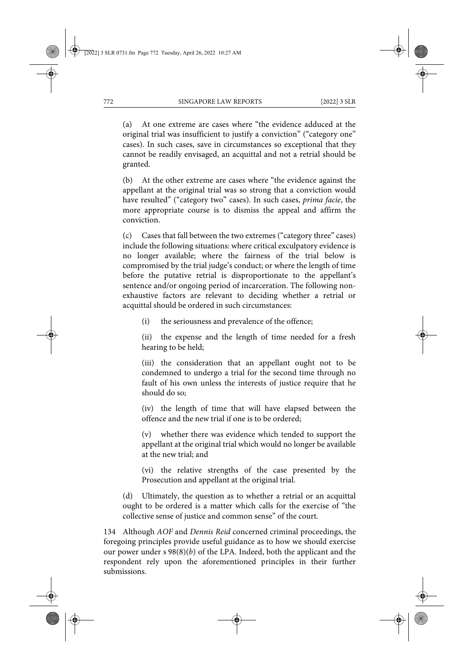(a) At one extreme are cases where "the evidence adduced at the original trial was insufficient to justify a conviction" ("category one" cases). In such cases, save in circumstances so exceptional that they cannot be readily envisaged, an acquittal and not a retrial should be granted.

(b) At the other extreme are cases where "the evidence against the appellant at the original trial was so strong that a conviction would have resulted" ("category two" cases). In such cases, *prima facie*, the more appropriate course is to dismiss the appeal and affirm the conviction.

(c) Cases that fall between the two extremes ("category three" cases) include the following situations: where critical exculpatory evidence is no longer available; where the fairness of the trial below is compromised by the trial judge's conduct; or where the length of time before the putative retrial is disproportionate to the appellant's sentence and/or ongoing period of incarceration. The following nonexhaustive factors are relevant to deciding whether a retrial or acquittal should be ordered in such circumstances:

(i) the seriousness and prevalence of the offence;

(ii) the expense and the length of time needed for a fresh hearing to be held;

(iii) the consideration that an appellant ought not to be condemned to undergo a trial for the second time through no fault of his own unless the interests of justice require that he should do so;

(iv) the length of time that will have elapsed between the offence and the new trial if one is to be ordered;

(v) whether there was evidence which tended to support the appellant at the original trial which would no longer be available at the new trial; and

(vi) the relative strengths of the case presented by the Prosecution and appellant at the original trial.

(d) Ultimately, the question as to whether a retrial or an acquittal ought to be ordered is a matter which calls for the exercise of "the collective sense of justice and common sense" of the court.

134 Although *AOF* and *Dennis Reid* concerned criminal proceedings, the foregoing principles provide useful guidance as to how we should exercise our power under s 98(8)(*b*) of the LPA. Indeed, both the applicant and the respondent rely upon the aforementioned principles in their further submissions.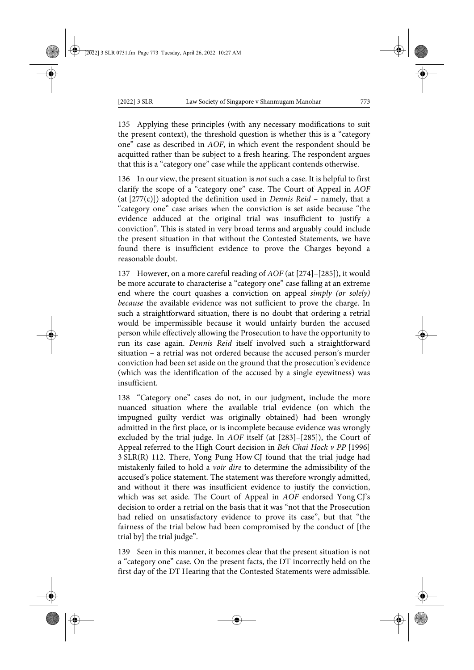135 Applying these principles (with any necessary modifications to suit the present context), the threshold question is whether this is a "category one" case as described in *AOF*, in which event the respondent should be acquitted rather than be subject to a fresh hearing. The respondent argues that this is a "category one" case while the applicant contends otherwise.

136 In our view, the present situation is *not* such a case. It is helpful to first clarify the scope of a "category one" case. The Court of Appeal in *AOF* (at [277(c)]) adopted the definition used in *Dennis Reid* – namely, that a "category one" case arises when the conviction is set aside because "the evidence adduced at the original trial was insufficient to justify a conviction". This is stated in very broad terms and arguably could include the present situation in that without the Contested Statements, we have found there is insufficient evidence to prove the Charges beyond a reasonable doubt.

137 However, on a more careful reading of *AOF* (at [274]–[285]), it would be more accurate to characterise a "category one" case falling at an extreme end where the court quashes a conviction on appeal *simply (or solely) because* the available evidence was not sufficient to prove the charge. In such a straightforward situation, there is no doubt that ordering a retrial would be impermissible because it would unfairly burden the accused person while effectively allowing the Prosecution to have the opportunity to run its case again. *Dennis Reid* itself involved such a straightforward situation – a retrial was not ordered because the accused person's murder conviction had been set aside on the ground that the prosecution's evidence (which was the identification of the accused by a single eyewitness) was insufficient.

138 "Category one" cases do not, in our judgment, include the more nuanced situation where the available trial evidence (on which the impugned guilty verdict was originally obtained) had been wrongly admitted in the first place, or is incomplete because evidence was wrongly excluded by the trial judge. In *AOF* itself (at [283]–[285]), the Court of Appeal referred to the High Court decision in *Beh Chai Hock v PP* [1996] 3 SLR(R) 112. There, Yong Pung How CJ found that the trial judge had mistakenly failed to hold a *voir dire* to determine the admissibility of the accused's police statement. The statement was therefore wrongly admitted, and without it there was insufficient evidence to justify the conviction, which was set aside. The Court of Appeal in *AOF* endorsed Yong CJ's decision to order a retrial on the basis that it was "not that the Prosecution had relied on unsatisfactory evidence to prove its case", but that "the fairness of the trial below had been compromised by the conduct of [the trial by] the trial judge".

139 Seen in this manner, it becomes clear that the present situation is not a "category one" case. On the present facts, the DT incorrectly held on the first day of the DT Hearing that the Contested Statements were admissible.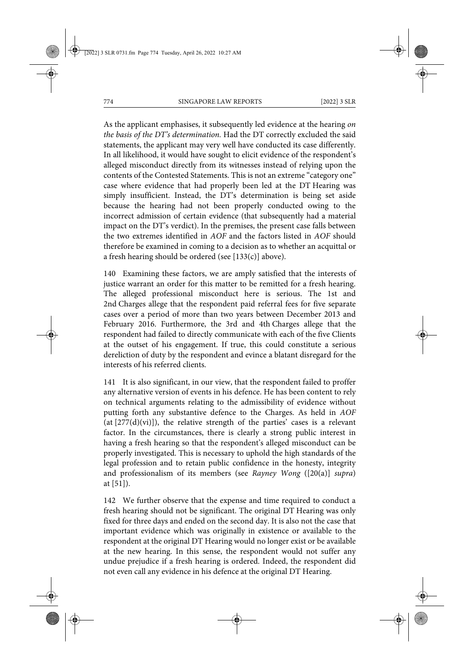As the applicant emphasises, it subsequently led evidence at the hearing *on the basis of the DT's determination.* Had the DT correctly excluded the said statements, the applicant may very well have conducted its case differently. In all likelihood, it would have sought to elicit evidence of the respondent's alleged misconduct directly from its witnesses instead of relying upon the contents of the Contested Statements. This is not an extreme "category one" case where evidence that had properly been led at the DT Hearing was simply insufficient. Instead, the DT's determination is being set aside because the hearing had not been properly conducted owing to the incorrect admission of certain evidence (that subsequently had a material impact on the DT's verdict). In the premises, the present case falls between the two extremes identified in *AOF* and the factors listed in *AOF* should therefore be examined in coming to a decision as to whether an acquittal or a fresh hearing should be ordered (see  $[133(c)]$  above).

140 Examining these factors, we are amply satisfied that the interests of justice warrant an order for this matter to be remitted for a fresh hearing. The alleged professional misconduct here is serious. The 1st and 2nd Charges allege that the respondent paid referral fees for five separate cases over a period of more than two years between December 2013 and February 2016. Furthermore, the 3rd and 4th Charges allege that the respondent had failed to directly communicate with each of the five Clients at the outset of his engagement. If true, this could constitute a serious dereliction of duty by the respondent and evince a blatant disregard for the interests of his referred clients.

141 It is also significant, in our view, that the respondent failed to proffer any alternative version of events in his defence. He has been content to rely on technical arguments relating to the admissibility of evidence without putting forth any substantive defence to the Charges. As held in *AOF* (at  $[277(d)(vi)]$ ), the relative strength of the parties' cases is a relevant factor. In the circumstances, there is clearly a strong public interest in having a fresh hearing so that the respondent's alleged misconduct can be properly investigated. This is necessary to uphold the high standards of the legal profession and to retain public confidence in the honesty, integrity and professionalism of its members (see *Rayney Wong* ([20(a)] *supra*) at [51]).

142 We further observe that the expense and time required to conduct a fresh hearing should not be significant. The original DT Hearing was only fixed for three days and ended on the second day. It is also not the case that important evidence which was originally in existence or available to the respondent at the original DT Hearing would no longer exist or be available at the new hearing. In this sense, the respondent would not suffer any undue prejudice if a fresh hearing is ordered. Indeed, the respondent did not even call any evidence in his defence at the original DT Hearing.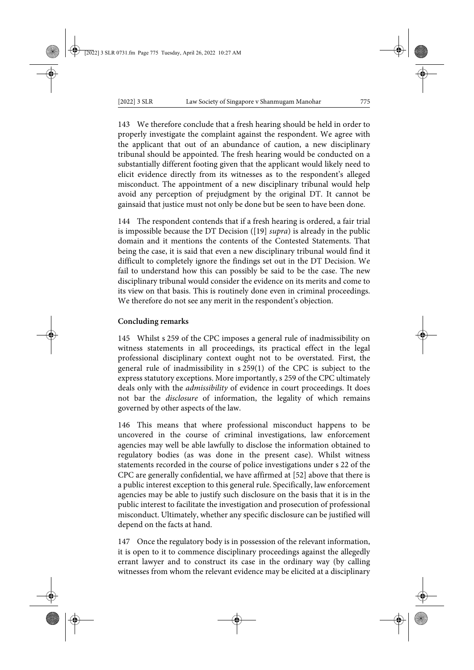143 We therefore conclude that a fresh hearing should be held in order to properly investigate the complaint against the respondent. We agree with the applicant that out of an abundance of caution, a new disciplinary tribunal should be appointed. The fresh hearing would be conducted on a substantially different footing given that the applicant would likely need to elicit evidence directly from its witnesses as to the respondent's alleged misconduct. The appointment of a new disciplinary tribunal would help avoid any perception of prejudgment by the original DT. It cannot be gainsaid that justice must not only be done but be seen to have been done.

144 The respondent contends that if a fresh hearing is ordered, a fair trial is impossible because the DT Decision ([19] *supra*) is already in the public domain and it mentions the contents of the Contested Statements. That being the case, it is said that even a new disciplinary tribunal would find it difficult to completely ignore the findings set out in the DT Decision. We fail to understand how this can possibly be said to be the case. The new disciplinary tribunal would consider the evidence on its merits and come to its view on that basis. This is routinely done even in criminal proceedings. We therefore do not see any merit in the respondent's objection.

# **Concluding remarks**

145 Whilst s 259 of the CPC imposes a general rule of inadmissibility on witness statements in all proceedings, its practical effect in the legal professional disciplinary context ought not to be overstated. First, the general rule of inadmissibility in s 259(1) of the CPC is subject to the express statutory exceptions. More importantly, s 259 of the CPC ultimately deals only with the *admissibility* of evidence in court proceedings. It does not bar the *disclosure* of information, the legality of which remains governed by other aspects of the law.

146 This means that where professional misconduct happens to be uncovered in the course of criminal investigations, law enforcement agencies may well be able lawfully to disclose the information obtained to regulatory bodies (as was done in the present case). Whilst witness statements recorded in the course of police investigations under s 22 of the CPC are generally confidential, we have affirmed at [52] above that there is a public interest exception to this general rule. Specifically, law enforcement agencies may be able to justify such disclosure on the basis that it is in the public interest to facilitate the investigation and prosecution of professional misconduct. Ultimately, whether any specific disclosure can be justified will depend on the facts at hand.

147 Once the regulatory body is in possession of the relevant information, it is open to it to commence disciplinary proceedings against the allegedly errant lawyer and to construct its case in the ordinary way (by calling witnesses from whom the relevant evidence may be elicited at a disciplinary